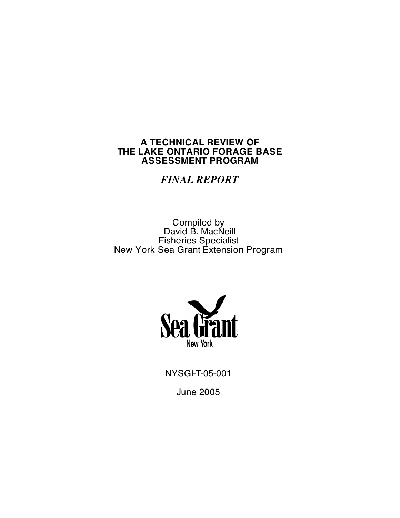# **A TECHNICAL REVIEW OF THE LAKE ONTARIO FORAGE BASE ASSESSMENT PROGRAM**

*FINAL REPORT*

Compiled by David B. MacNeill Fisheries Specialist New York Sea Grant Extension Program



NYSGI-T-05-001 June 2005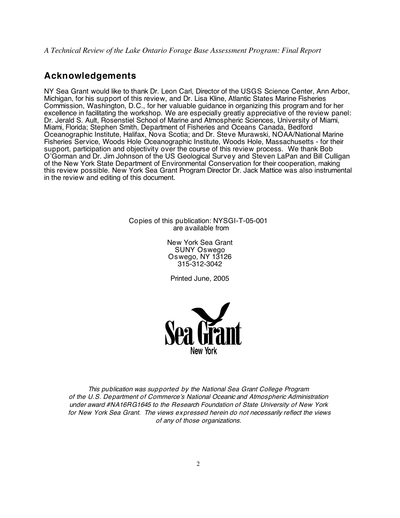# **Acknowledgements**

NY Sea Grant would like to thank Dr. Leon Carl, Director of the USGS Science Center, Ann Arbor, Michigan, for his support of this review, and Dr. Lisa Kline, Atlantic States Marine Fisheries Commission, Washington, D.C., for her valuable guidance in organizing this program and for her excellence in facilitating the workshop. We are especially greatly appreciative of the review panel: Dr. Jerald S. Ault, Rosenstiel School of Marine and Atmospheric Sciences, University of Miami, Miami, Florida; Stephen Smith, Department of Fisheries and Oceans Canada, Bedford Oceanographic Institute, Halifax, Nova Scotia; and Dr. Steve Murawski, NOAA/National Marine Fisheries Service, Woods Hole Oceanographic Institute, Woods Hole, Massachusetts - for their support, participation and objectivity over the course of this review process. We thank Bob O'Gorman and Dr. Jim Johnson of the US Geological Survey and Steven LaPan and Bill Culligan of the New York State Department of Environmental Conservation for their cooperation, making this review possible. New York Sea Grant Program Director Dr. Jack Mattice was also instrumental in the review and editing of this document.

> Copies of this publication: NYSGI-T-05-001 are available from

> > New York Sea Grant SUNY Oswego Oswego, NY 13126 315-312-3042

Printed June, 2005



This publication was supported by the National Sea Grant College Program of the U.S. Department of Commerce's National Oceanic and Atmospheric Administration under award #NA16RG1645 to the Research Foundation of State University of New York for New York Sea Grant. The views expressed herein do not necessarily reflect the views of any of those organizations.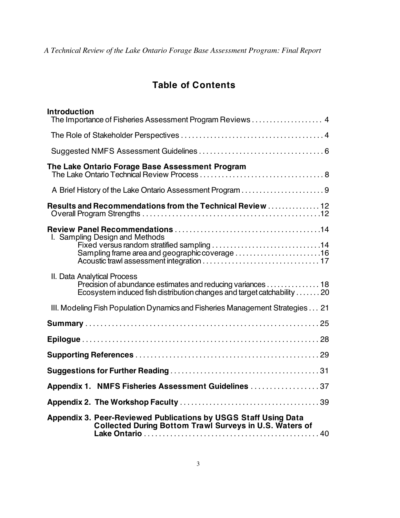# **Table of Contents**

| <b>Introduction</b><br>The Importance of Fisheries Assessment Program Reviews  4                                                                                    |
|---------------------------------------------------------------------------------------------------------------------------------------------------------------------|
|                                                                                                                                                                     |
|                                                                                                                                                                     |
| The Lake Ontario Forage Base Assessment Program                                                                                                                     |
|                                                                                                                                                                     |
| Results and Recommendations from the Technical Review  12                                                                                                           |
| I. Sampling Design and Methods<br>Sampling frame area and geographic coverage 16                                                                                    |
| II. Data Analytical Process<br>Precision of abundance estimates and reducing variances 18<br>Ecosystem induced fish distribution changes and target catchability 20 |
| III. Modeling Fish Population Dynamics and Fisheries Management Strategies 21                                                                                       |
|                                                                                                                                                                     |
|                                                                                                                                                                     |
|                                                                                                                                                                     |
|                                                                                                                                                                     |
| Appendix 1. NMFS Fisheries Assessment Guidelines 37                                                                                                                 |
|                                                                                                                                                                     |
| Appendix 3. Peer-Reviewed Publications by USGS Staff Using Data<br><b>Collected During Bottom Trawl Surveys in U.S. Waters of</b>                                   |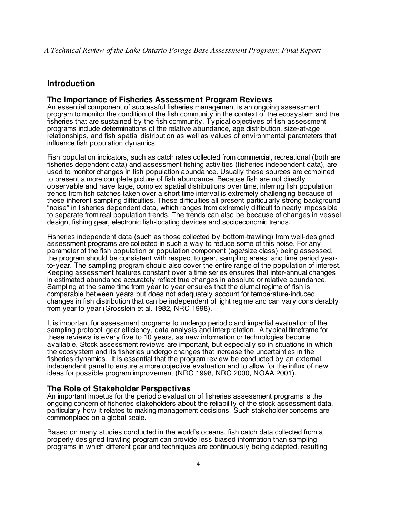# **Introduction**

#### **The Importance of Fisheries Assessment Program Reviews**

An essential component of successful fisheries management is an ongoing assessment program to monitor the condition of the fish community in the context of the ecosystem and the fisheries that are sustained by the fish community. Typical objectives of fish assessment programs include determinations of the relative abundance, age distribution, size-at-age relationships, and fish spatial distribution as well as values of environmental parameters that influence fish population dynamics.

Fish population indicators, such as catch rates collected from commercial, recreational (both are fisheries dependent data) and assessment fishing activities (fisheries independent data), are used to monitor changes in fish population abundance. Usually these sources are combined to present a more complete picture of fish abundance. Because fish are not directly observable and have large, complex spatial distributions over time, inferring fish population trends from fish catches taken over a short time interval is extremely challenging because of these inherent sampling difficulties. These difficulties all present particularly strong background "noise" in fisheries dependent data, which ranges from extremely difficult to nearly impossible to separate from real population trends. The trends can also be because of changes in vessel design, fishing gear, electronic fish-locating devices and socioeconomic trends.

Fisheries independent data (such as those collected by bottom-trawling) from well-designed assessment programs are collected in such a way to reduce some of this noise. For any parameter of the fish population or population component (age/size class) being assessed, the program should be consistent with respect to gear, sampling areas, and time period yearto-year. The sampling program should also cover the entire range of the population of interest. Keeping assessment features constant over a time series ensures that inter-annual changes in estimated abundance accurately reflect true changes in absolute or relative abundance. Sampling at the same time from year to year ensures that the diurnal regime of fish is comparable between years but does not adequately account for temperature-induced changes in fish distribution that can be independent of light regime and can vary considerably from year to year (Grosslein et al. 1982, NRC 1998).

It is important for assessment programs to undergo periodic and impartial evaluation of the sampling protocol, gear efficiency, data analysis and interpretation. A typical timeframe for these reviews is every five to 10 years, as new information or technologies become available. Stock assessment reviews are important, but especially so in situations in which the ecosystem and its fisheries undergo changes that increase the uncertainties in the fisheries dynamics. It is essential that the program review be conducted by an external, independent panel to ensure a more objective evaluation and to allow for the influx of new ideas for possible program improvement (NRC 1998, NRC 2000, NOAA 2001).

#### **The Role of Stakeholder Perspectives**

An important impetus for the periodic evaluation of fisheries assessment programs is the ongoing concern of fisheries stakeholders about the reliability of the stock assessment data, particularly how it relates to making management decisions. Such stakeholder concerns are commonplace on a global scale.

Based on many studies conducted in the world's oceans, fish catch data collected from a properly designed trawling program can provide less biased information than sampling programs in which different gear and techniques are continuously being adapted, resulting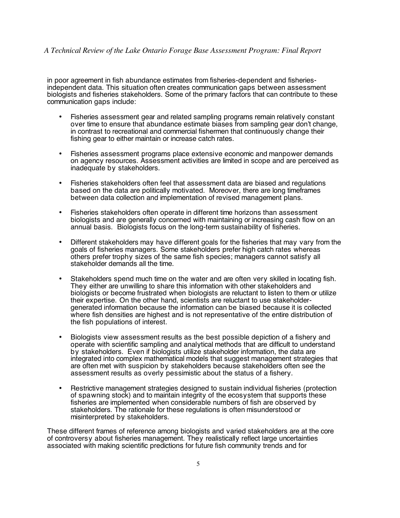in poor agreement in fish abundance estimates from fisheries-dependent and fisheriesindependent data. This situation often creates communication gaps between assessment biologists and fisheries stakeholders. Some of the primary factors that can contribute to these communication gaps include:

- Fisheries assessment gear and related sampling programs remain relatively constant over time to ensure that abundance estimate biases from sampling gear don't change, in contrast to recreational and commercial fishermen that continuously change their fishing gear to either maintain or increase catch rates.
- Fisheries assessment programs place extensive economic and manpower demands on agency resources. Assessment activities are limited in scope and are perceived as inadequate by stakeholders.
- Fisheries stakeholders often feel that assessment data are biased and regulations based on the data are politically motivated. Moreover, there are long timeframes between data collection and implementation of revised management plans.
- Fisheries stakeholders often operate in different time horizons than assessment biologists and are generally concerned with maintaining or increasing cash flow on an annual basis. Biologists focus on the long-term sustainability of fisheries.
- Different stakeholders may have different goals for the fisheries that may vary from the goals of fisheries managers. Some stakeholders prefer high catch rates whereas others prefer trophy sizes of the same fish species; managers cannot satisfy all stakeholder demands all the time.
- Stakeholders spend much time on the water and are often very skilled in locating fish. They either are unwilling to share this information with other stakeholders and biologists or become frustrated when biologists are reluctant to listen to them or utilize their expertise. On the other hand, scientists are reluctant to use stakeholdergenerated information because the information can be biased because it is collected where fish densities are highest and is not representative of the entire distribution of the fish populations of interest.
- Biologists view assessment results as the best possible depiction of a fishery and operate with scientific sampling and analytical methods that are difficult to understand by stakeholders. Even if biologists utilize stakeholder information, the data are integrated into complex mathematical models that suggest management strategies that are often met with suspicion by stakeholders because stakeholders often see the assessment results as overly pessimistic about the status of a fishery.
- Restrictive management strategies designed to sustain individual fisheries (protection of spawning stock) and to maintain integrity of the ecosystem that supports these fisheries are implemented when considerable numbers of fish are observed by stakeholders. The rationale for these regulations is often misunderstood or misinterpreted by stakeholders.

These different frames of reference among biologists and varied stakeholders are at the core of controversy about fisheries management. They realistically reflect large uncertainties associated with making scientific predictions for future fish community trends and for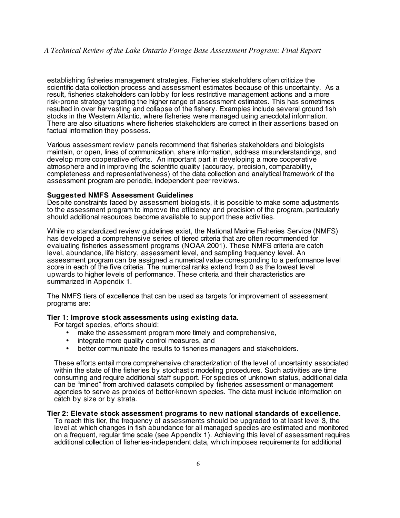establishing fisheries management strategies. Fisheries stakeholders often criticize the scientific data collection process and assessment estimates because of this uncertainty. As a result, fisheries stakeholders can lobby for less restrictive management actions and a more risk-prone strategy targeting the higher range of assessment estimates. This has sometimes resulted in over harvesting and collapse of the fishery. Examples include several ground fish stocks in the Western Atlantic, where fisheries were managed using anecdotal information. There are also situations where fisheries stakeholders are correct in their assertions based on factual information they possess.

Various assessment review panels recommend that fisheries stakeholders and biologists maintain, or open, lines of communication, share information, address misunderstandings, and develop more cooperative efforts. An important part in developing a more cooperative atmosphere and in improving the scientific quality (accuracy, precision, comparability, completeness and representativeness) of the data collection and analytical framework of the assessment program are periodic, independent peer reviews.

#### **Suggested NMFS Assessment Guidelines**

Despite constraints faced by assessment biologists, it is possible to make some adjustments to the assessment program to improve the efficiency and precision of the program, particularly should additional resources become available to support these activities.

While no standardized review guidelines exist, the National Marine Fisheries Service (NMFS) has developed a comprehensive series of tiered criteria that are often recommended for evaluating fisheries assessment programs (NOAA 2001). These NMFS criteria are catch level, abundance, life history, assessment level, and sampling frequency level. An assessment program can be assigned a numerical value corresponding to a performance level score in each of the five criteria. The numerical ranks extend from 0 as the lowest level upwards to higher levels of performance. These criteria and their characteristics are summarized in Appendix 1.

The NMFS tiers of excellence that can be used as targets for improvement of assessment programs are:

#### **Tier 1: Improve stock assessments using existing data.**

For target species, efforts should:

- make the assessment program more timely and comprehensive,
- integrate more quality control measures, and
- better communicate the results to fisheries managers and stakeholders.

These efforts entail more comprehensive characterization of the level of uncertainty associated within the state of the fisheries by stochastic modeling procedures. Such activities are time consuming and require additional staff support. For species of unknown status, additional data can be "mined" from archived datasets compiled by fisheries assessment or management agencies to serve as proxies of better-known species. The data must include information on catch by size or by strata.

#### **Tier 2: Elevate stock assessment programs to new national standards of excellence.**

To reach this tier, the frequency of assessments should be upgraded to at least level 3, the level at which changes in fish abundance for all managed species are estimated and monitored on a frequent, regular time scale (see Appendix 1). Achieving this level of assessment requires additional collection of fisheries-independent data, which imposes requirements for additional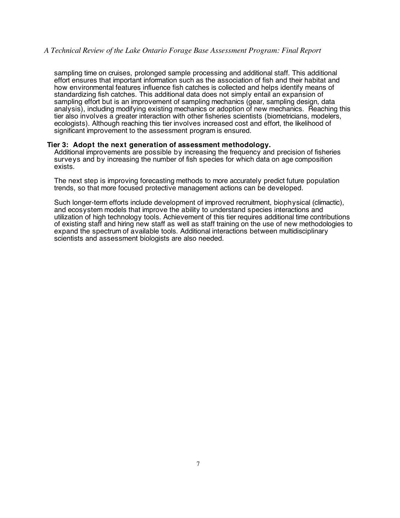sampling time on cruises, prolonged sample processing and additional staff. This additional effort ensures that important information such as the association of fish and their habitat and how environmental features influence fish catches is collected and helps identify means of standardizing fish catches. This additional data does not simply entail an expansion of sampling effort but is an improvement of sampling mechanics (gear, sampling design, data analysis), including modifying existing mechanics or adoption of new mechanics. Reaching this tier also involves a greater interaction with other fisheries scientists (biometricians, modelers, ecologists). Although reaching this tier involves increased cost and effort, the likelihood of significant improvement to the assessment program is ensured.

#### **Tier 3: Adopt the next generation of assessment methodology.**

Additional improvements are possible by increasing the frequency and precision of fisheries surveys and by increasing the number of fish species for which data on age composition exists.

The next step is improving forecasting methods to more accurately predict future population trends, so that more focused protective management actions can be developed.

Such longer-term efforts include development of improved recruitment, biophysical (climactic), and ecosystem models that improve the ability to understand species interactions and utilization of high technology tools. Achievement of this tier requires additional time contributions of existing staff and hiring new staff as well as staff training on the use of new methodologies to expand the spectrum of available tools. Additional interactions between multidisciplinary scientists and assessment biologists are also needed.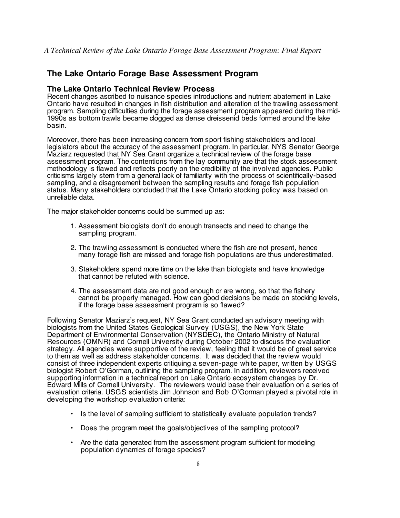# **The Lake Ontario Forage Base Assessment Program**

# **The Lake Ontario Technical Review Process**

Recent changes ascribed to nuisance species introductions and nutrient abatement in Lake Ontario have resulted in changes in fish distribution and alteration of the trawling assessment program. Sampling difficulties during the forage assessment program appeared during the mid-1990s as bottom trawls became clogged as dense dreissenid beds formed around the lake basin.

Moreover, there has been increasing concern from sport fishing stakeholders and local legislators about the accuracy of the assessment program. In particular, NYS Senator George Maziarz requested that NY Sea Grant organize a technical review of the forage base assessment program. The contentions from the lay community are that the stock assessment methodology is flawed and reflects poorly on the credibility of the involved agencies. Public criticisms largely stem from a general lack of familiarity with the process of scientifically-based sampling, and a disagreement between the sampling results and forage fish population status. Many stakeholders concluded that the Lake Ontario stocking policy was based on unreliable data.

The major stakeholder concerns could be summed up as:

- 1. Assessment biologists don't do enough transects and need to change the sampling program.
- 2. The trawling assessment is conducted where the fish are not present, hence many forage fish are missed and forage fish populations are thus underestimated.
- 3. Stakeholders spend more time on the lake than biologists and have knowledge that cannot be refuted with science.
- 4. The assessment data are not good enough or are wrong, so that the fishery cannot be properly managed. How can good decisions be made on stocking levels, if the forage base assessment program is so flawed?

Following Senator Maziarz's request, NY Sea Grant conducted an advisory meeting with biologists from the United States Geological Survey (USGS), the New York State Department of Environmental Conservation (NYSDEC), the Ontario Ministry of Natural Resources (OMNR) and Cornell University during October 2002 to discuss the evaluation strategy. All agencies were supportive of the review, feeling that it would be of great service to them as well as address stakeholder concerns. It was decided that the review would consist of three independent experts critiquing a seven-page white paper, written by USGS biologist Robert O'Gorman, outlining the sampling program. In addition, reviewers received supporting information in a technical report on Lake Ontario ecosystem changes by Dr. Edward Mills of Cornell University. The reviewers would base their evaluation on a series of evaluation criteria. USGS scientists Jim Johnson and Bob O'Gorman played a pivotal role in developing the workshop evaluation criteria:

- Is the level of sampling sufficient to statistically evaluate population trends?
- Does the program meet the goals/objectives of the sampling protocol?
- Are the data generated from the assessment program sufficient for modeling population dynamics of forage species?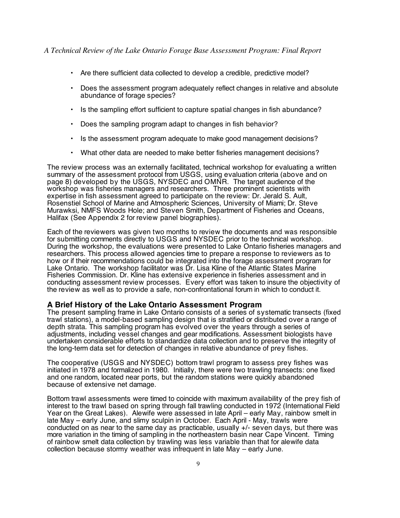- Are there sufficient data collected to develop a credible, predictive model?
- Does the assessment program adequately reflect changes in relative and absolute abundance of forage species?
- Is the sampling effort sufficient to capture spatial changes in fish abundance?
- Does the sampling program adapt to changes in fish behavior?
- Is the assessment program adequate to make good management decisions?
- What other data are needed to make better fisheries management decisions?

The review process was an externally facilitated, technical workshop for evaluating a written summary of the assessment protocol from USGS, using evaluation criteria (above and on page 8) developed by the USGS, NYSDEC and OMNR. The target audience of the workshop was fisheries managers and researchers. Three prominent scientists with expertise in fish assessment agreed to participate on the review: Dr. Jerald S. Ault, Rosenstiel School of Marine and Atmospheric Sciences, University of Miami; Dr. Steve Murawksi, NMFS Woods Hole; and Steven Smith, Department of Fisheries and Oceans, Halifax (See Appendix 2 for review panel biographies).

Each of the reviewers was given two months to review the documents and was responsible for submitting comments directly to USGS and NYSDEC prior to the technical workshop. During the workshop, the evaluations were presented to Lake Ontario fisheries managers and researchers. This process allowed agencies time to prepare a response to reviewers as to how or if their recommendations could be integrated into the forage assessment program for Lake Ontario. The workshop facilitator was Dr. Lisa Kline of the Atlantic States Marine Fisheries Commission. Dr. Kline has extensive experience in fisheries assessment and in conducting assessment review processes. Every effort was taken to insure the objectivity of the review as well as to provide a safe, non-confrontational forum in which to conduct it.

#### **A Brief History of the Lake Ontario Assessment Program**

The present sampling frame in Lake Ontario consists of a series of systematic transects (fixed trawl stations), a model-based sampling design that is stratified or distributed over a range of depth strata. This sampling program has evolved over the years through a series of adjustments, including vessel changes and gear modifications. Assessment biologists have undertaken considerable efforts to standardize data collection and to preserve the integrity of the long-term data set for detection of changes in relative abundance of prey fishes.

The cooperative (USGS and NYSDEC) bottom trawl program to assess prey fishes was initiated in 1978 and formalized in 1980. Initially, there were two trawling transects: one fixed and one random, located near ports, but the random stations were quickly abandoned because of extensive net damage.

Bottom trawl assessments were timed to coincide with maximum availability of the prey fish of interest to the trawl based on spring through fall trawling conducted in 1972 (International Field Year on the Great Lakes). Alewife were assessed in late April – early May, rainbow smelt in late May – early June, and slimy sculpin in October. Each April - May, trawls were conducted on as near to the same day as practicable, usually +/- seven days, but there was more variation in the timing of sampling in the northeastern basin near Cape Vincent. Timing of rainbow smelt data collection by trawling was less variable than that for alewife data collection because stormy weather was infrequent in late May – early June.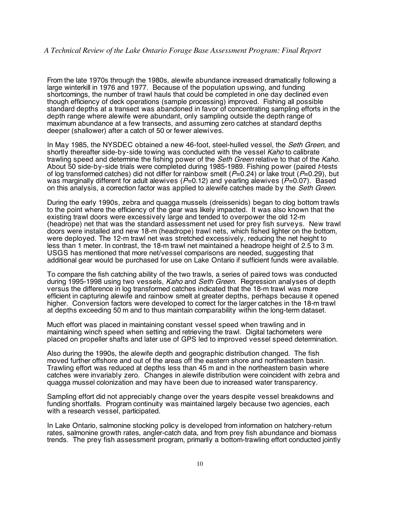From the late 1970s through the 1980s, alewife abundance increased dramatically following a large winterkill in 1976 and 1977. Because of the population upswing, and funding shortcomings, the number of trawl hauls that could be completed in one day declined even though efficiency of deck operations (sample processing) improved. Fishing all possible standard depths at a transect was abandoned in favor of concentrating sampling efforts in the depth range where alewife were abundant, only sampling outside the depth range of maximum abundance at a few transects, and assuming zero catches at standard depths deeper (shallower) after a catch of 50 or fewer alewives.

In May 1985, the NYSDEC obtained a new 46-foot, steel-hulled vessel, the *Seth Green*, and shortly thereafter side-by-side towing was conducted with the vessel Kaho to calibrate trawling speed and determine the fishing power of the Seth Green relative to that of the Kaho. About 50 side-by-side trials were completed during 1985-1989. Fishing power (paired <sup>t</sup>-tests of log transformed catches) did not differ for rainbow smelt ( $P=0.24$ ) or lake trout ( $P=0.29$ ), but was marginally different for adult alewives  $(P=0.12)$  and yearling alewives  $(P=0.07)$ . Based on this analysis, a correction factor was applied to alewife catches made by the *Seth Green.* 

During the early 1990s, zebra and quagga mussels (dreissenids) began to clog bottom trawls to the point where the efficiency of the gear was likely impacted. It was also known that the existing trawl doors were excessively large and tended to overpower the old 12-m (headrope) net that was the standard assessment net used for prey fish surveys. New trawl doors were installed and new 18-m (headrope) trawl nets, which fished lighter on the bottom, were deployed. The 12-m trawl net was stretched excessively, reducing the net height to less than 1 meter. In contrast, the 18-m trawl net maintained a headrope height of 2.5 to 3 m. USGS has mentioned that more net/vessel comparisons are needed, suggesting that additional gear would be purchased for use on Lake Ontario if sufficient funds were available.

To compare the fish catching ability of the two trawls, a series of paired tows was conducted during 1995-1998 using two vessels, Kaho and Seth Green. Regression analyses of depth versus the difference in log transformed catches indicated that the 18-m trawl was more efficient in capturing alewife and rainbow smelt at greater depths, perhaps because it opened higher. Conversion factors were developed to correct for the larger catches in the 18-m trawl at depths exceeding 50 m and to thus maintain comparability within the long-term dataset.

Much effort was placed in maintaining constant vessel speed when trawling and in maintaining winch speed when setting and retrieving the trawl. Digital tachometers were placed on propeller shafts and later use of GPS led to improved vessel speed determination.

Also during the 1990s, the alewife depth and geographic distribution changed. The fish moved further offshore and out of the areas off the eastern shore and northeastern basin. Trawling effort was reduced at depths less than 45 m and in the northeastern basin where catches were invariably zero. Changes in alewife distribution were coincident with zebra and quagga mussel colonization and may have been due to increased water transparency.

Sampling effort did not appreciably change over the years despite vessel breakdowns and funding shortfalls. Program continuity was maintained largely because two agencies, each with a research vessel, participated.

In Lake Ontario, salmonine stocking policy is developed from information on hatchery-return rates, salmonine growth rates, angler-catch data, and from prey fish abundance and biomass trends. The prey fish assessment program, primarily a bottom-trawling effort conducted jointly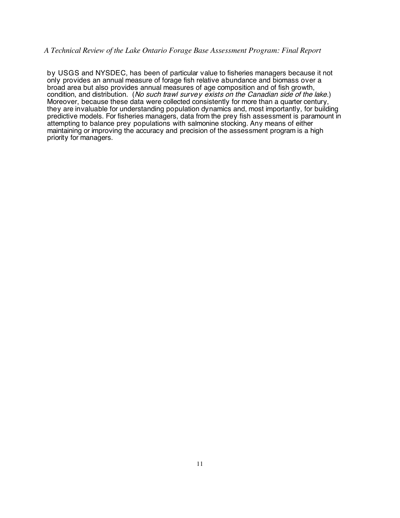by USGS and NYSDEC, has been of particular value to fisheries managers because it not only provides an annual measure of forage fish relative abundance and biomass over a broad area but also provides annual measures of age composition and of fish growth, condition, and distribution. (No such trawl survey exists on the Canadian side of the lake.) Moreover, because these data were collected consistently for more than a quarter century, they are invaluable for understanding population dynamics and, most importantly, for building predictive models. For fisheries managers, data from the prey fish assessment is paramount in attempting to balance prey populations with salmonine stocking. Any means of either maintaining or improving the accuracy and precision of the assessment program is a high priority for managers.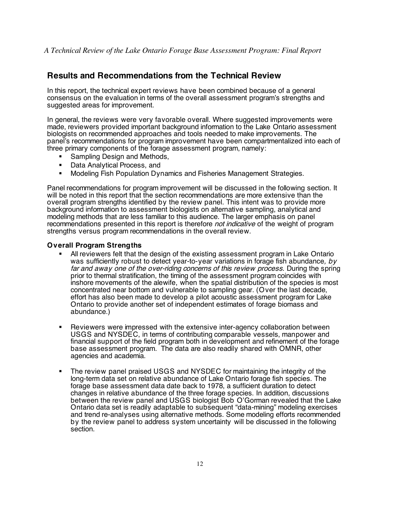# **Results and Recommendations from the Technical Review**

In this report, the technical expert reviews have been combined because of a general consensus on the evaluation in terms of the overall assessment program's strengths and suggested areas for improvement.

In general, the reviews were very favorable overall. Where suggested improvements were made, reviewers provided important background information to the Lake Ontario assessment biologists on recommended approaches and tools needed to make improvements. The panel's recommendations for program improvement have been compartmentalized into each of three primary components of the forage assessment program, namely:

- Sampling Design and Methods,
- **Data Analytical Process, and**
- Modeling Fish Population Dynamics and Fisheries Management Strategies.

Panel recommendations for program improvement will be discussed in the following section. It will be noted in this report that the section recommendations are more extensive than the overall program strengths identified by the review panel. This intent was to provide more background information to assessment biologists on alternative sampling, analytical and modeling methods that are less familiar to this audience. The larger emphasis on panel recommendations presented in this report is therefore *not indicative* of the weight of program strengths versus program recommendations in the overall review.

## **Overall Program Strengths**

- All reviewers felt that the design of the existing assessment program in Lake Ontario was sufficiently robust to detect year-to-year variations in forage fish abundance, by far and away one of the over-riding concerns of this review process. During the spring prior to thermal stratification, the timing of the assessment program coincides with inshore movements of the alewife, when the spatial distribution of the species is most concentrated near bottom and vulnerable to sampling gear. (Over the last decade, effort has also been made to develop a pilot acoustic assessment program for Lake Ontario to provide another set of independent estimates of forage biomass and abundance.)
- Reviewers were impressed with the extensive inter-agency collaboration between USGS and NYSDEC, in terms of contributing comparable vessels, manpower and financial support of the field program both in development and refinement of the forage base assessment program. The data are also readily shared with OMNR, other agencies and academia.
- The review panel praised USGS and NYSDEC for maintaining the integrity of the long-term data set on relative abundance of Lake Ontario forage fish species. The forage base assessment data date back to 1978, a sufficient duration to detect changes in relative abundance of the three forage species. In addition, discussions between the review panel and USGS biologist Bob O'Gorman revealed that the Lake Ontario data set is readily adaptable to subsequent "data-mining" modeling exercises and trend re-analyses using alternative methods. Some modeling efforts recommended by the review panel to address system uncertainty will be discussed in the following section.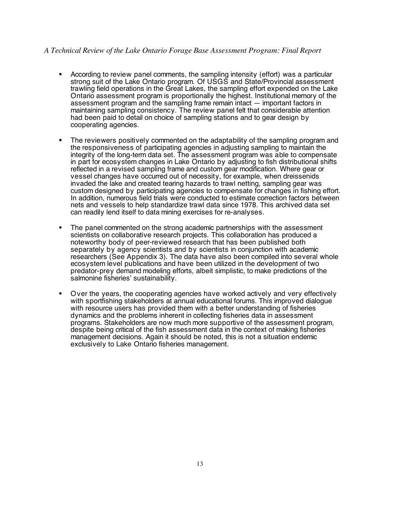- According to review panel comments, the sampling intensity (effort) was a particular strong suit of the Lake Ontario program. Of USGS and State/Provincial assessment trawling field operations in the Great Lakes, the sampling effort expended on the Lake Ontario assessment program is proportionally the highest. Institutional memory of the assessment program and the sampling frame remain intact — important factors in maintaining sampling consistency. The review panel felt that considerable attention had been paid to detail on choice of sampling stations and to gear design by cooperating agencies.
- The reviewers positively commented on the adaptability of the sampling program and the responsiveness of participating agencies in adjusting sampling to maintain the integrity of the long-term data set. The assessment program was able to compensate in part for ecosystem changes in Lake Ontario by adjusting to fish distributional shifts reflected in a revised sampling frame and custom gear modification. Where gear or vessel changes have occurred out of necessity, for example, when dreissenids invaded the lake and created tearing hazards to trawl netting, sampling gear was custom designed by participating agencies to compensate for changes in fishing effort. In addition, numerous field trials were conducted to estimate correction factors between nets and vessels to help standardize trawl data since 1978. This archived data set can readily lend itself to data mining exercises for re-analyses.
- The panel commented on the strong academic partnerships with the assessment scientists on collaborative research projects. This collaboration has produced a noteworthy body of peer-reviewed research that has been published both separately by agency scientists and by scientists in conjunction with academic researchers (See Appendix 3). The data have also been compiled into several whole ecosystem level publications and have been utilized in the development of two predator-prey demand modeling efforts, albeit simplistic, to make predictions of the salmonine fisheries' sustainability.
- Over the years, the cooperating agencies have worked actively and very effectively with sportfishing stakeholders at annual educational forums. This improved dialogue with resource users has provided them with a better understanding of fisheries dynamics and the problems inherent in collecting fisheries data in assessment programs. Stakeholders are now much more supportive of the assessment program, despite being critical of the fish assessment data in the context of making fisheries management decisions. Again it should be noted, this is not a situation endemic exclusively to Lake Ontario fisheries management.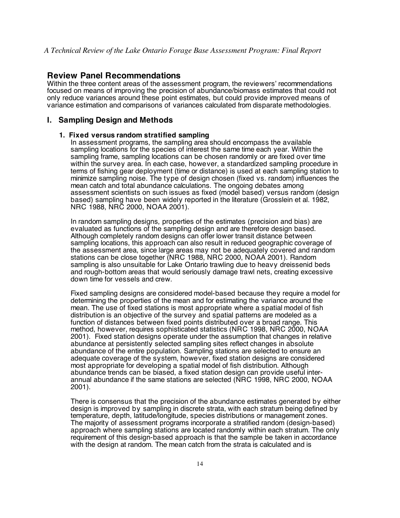# **Review Panel Recommendations**

Within the three content areas of the assessment program, the reviewers' recommendations focused on means of improving the precision of abundance/biomass estimates that could not only reduce variances around these point estimates, but could provide improved means of variance estimation and comparisons of variances calculated from disparate methodologies.

## **I. Sampling Design and Methods**

#### **1. Fixed versus random stratified sampling**

In assessment programs, the sampling area should encompass the available sampling locations for the species of interest the same time each year. Within the sampling frame, sampling locations can be chosen randomly or are fixed over time within the survey area. In each case, however, a standardized sampling procedure in terms of fishing gear deployment (time or distance) is used at each sampling station to minimize sampling noise. The type of design chosen (fixed vs. random) influences the mean catch and total abundance calculations. The ongoing debates among assessment scientists on such issues as fixed (model based) versus random (design based) sampling have been widely reported in the literature (Grosslein et al. 1982, NRC 1988, NRC 2000, NOAA 2001).

In random sampling designs, properties of the estimates (precision and bias) are evaluated as functions of the sampling design and are therefore design based. Although completely random designs can offer lower transit distance between sampling locations, this approach can also result in reduced geographic coverage of the assessment area, since large areas may not be adequately covered and random stations can be close together (NRC 1988, NRC 2000, NOAA 2001). Random sampling is also unsuitable for Lake Ontario trawling due to heavy dreissenid beds and rough-bottom areas that would seriously damage trawl nets, creating excessive down time for vessels and crew.

Fixed sampling designs are considered model-based because they require a model for determining the properties of the mean and for estimating the variance around the mean. The use of fixed stations is most appropriate where a spatial model of fish distribution is an objective of the survey and spatial patterns are modeled as a function of distances between fixed points distributed over a broad range. This method, however, requires sophisticated statistics (NRC 1998, NRC 2000, NOAA 2001). Fixed station designs operate under the assumption that changes in relative abundance at persistently selected sampling sites reflect changes in absolute abundance of the entire population. Sampling stations are selected to ensure an adequate coverage of the system, however, fixed station designs are considered most appropriate for developing a spatial model of fish distribution. Although abundance trends can be biased, a fixed station design can provide useful interannual abundance if the same stations are selected (NRC 1998, NRC 2000, NOAA 2001).

There is consensus that the precision of the abundance estimates generated by either design is improved by sampling in discrete strata, with each stratum being defined by temperature, depth, latitude/longitude, species distributions or management zones. The majority of assessment programs incorporate a stratified random (design-based) approach where sampling stations are located randomly within each stratum. The only requirement of this design-based approach is that the sample be taken in accordance with the design at random. The mean catch from the strata is calculated and is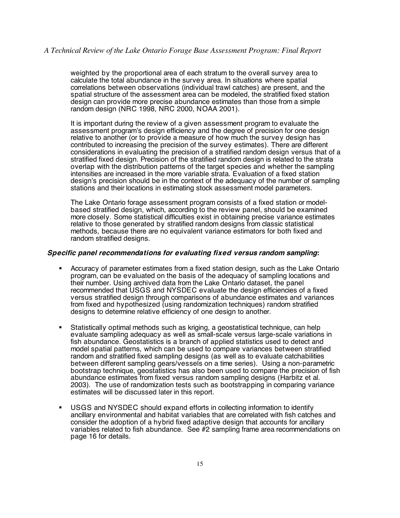weighted by the proportional area of each stratum to the overall survey area to calculate the total abundance in the survey area. In situations where spatial correlations between observations (individual trawl catches) are present, and the spatial structure of the assessment area can be modeled, the stratified fixed station design can provide more precise abundance estimates than those from a simple random design (NRC 1998, NRC 2000, NOAA 2001).

It is important during the review of a given assessment program to evaluate the assessment program's design efficiency and the degree of precision for one design relative to another (or to provide a measure of how much the survey design has contributed to increasing the precision of the survey estimates). There are different considerations in evaluating the precision of a stratified random design versus that of a stratified fixed design. Precision of the stratified random design is related to the strata overlap with the distribution patterns of the target species and whether the sampling intensities are increased in the more variable strata. Evaluation of a fixed station design's precision should be in the context of the adequacy of the number of sampling stations and their locations in estimating stock assessment model parameters.

The Lake Ontario forage assessment program consists of a fixed station or modelbased stratified design, which, according to the review panel, should be examined more closely. Some statistical difficulties exist in obtaining precise variance estimates relative to those generated by stratified random designs from classic statistical methods, because there are no equivalent variance estimators for both fixed and random stratified designs.

#### **Specific panel recommendations for evaluating fixed versus random sampling:**

- Accuracy of parameter estimates from a fixed station design, such as the Lake Ontario program, can be evaluated on the basis of the adequacy of sampling locations and their number. Using archived data from the Lake Ontario dataset, the panel recommended that USGS and NYSDEC evaluate the design efficiencies of a fixed versus stratified design through comparisons of abundance estimates and variances from fixed and hypothesized (using randomization techniques) random stratified designs to determine relative efficiency of one design to another.
- Statistically optimal methods such as kriging, a geostatistical technique, can help evaluate sampling adequacy as well as small-scale versus large-scale variations in fish abundance. Geostatistics is a branch of applied statistics used to detect and model spatial patterns, which can be used to compare variances between stratified random and stratified fixed sampling designs (as well as to evaluate catchabilities between different sampling gears/vessels on a time series). Using a non-parametric bootstrap technique, geostatistics has also been used to compare the precision of fish abundance estimates from fixed versus random sampling designs (Harbitz et al. 2003). The use of randomization tests such as bootstrapping in comparing variance estimates will be discussed later in this report.
- USGS and NYSDEC should expand efforts in collecting information to identify ancillary environmental and habitat variables that are correlated with fish catches and consider the adoption of a hybrid fixed adaptive design that accounts for ancillary variables related to fish abundance. See #2 sampling frame area recommendations on page 16 for details.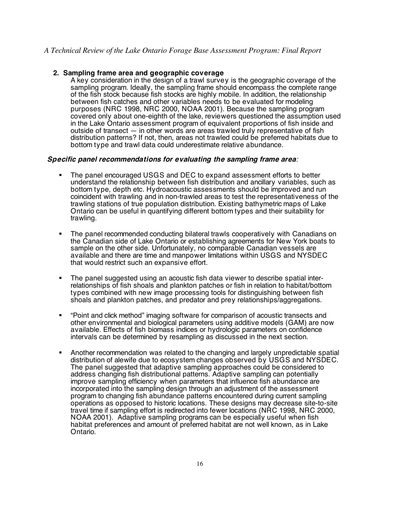#### **2. Sampling frame area and geographic coverage**

A key consideration in the design of a trawl survey is the geographic coverage of the sampling program. Ideally, the sampling frame should encompass the complete range of the fish stock because fish stocks are highly mobile. In addition, the relationship between fish catches and other variables needs to be evaluated for modeling purposes (NRC 1998, NRC 2000, NOAA 2001). Because the sampling program covered only about one-eighth of the lake, reviewers questioned the assumption used in the Lake Ontario assessment program of equivalent proportions of fish inside and outside of transect — in other words are areas trawled truly representative of fish distribution patterns? If not, then, areas not trawled could be preferred habitats due to bottom type and trawl data could underestimate relative abundance.

#### **Specific panel recommendations for evaluating the sampling frame area**:

- The panel encouraged USGS and DEC to expand assessment efforts to better understand the relationship between fish distribution and ancillary variables, such as bottom type, depth etc. Hydroacoustic assessments should be improved and run coincident with trawling and in non-trawled areas to test the representativeness of the trawling stations of true population distribution. Existing bathymetric maps of Lake Ontario can be useful in quantifying different bottom types and their suitability for trawling.
- The panel recommended conducting bilateral trawls cooperatively with Canadians on the Canadian side of Lake Ontario or establishing agreements for New York boats to sample on the other side. Unfortunately, no comparable Canadian vessels are available and there are time and manpower limitations within USGS and NYSDEC that would restrict such an expansive effort.
- The panel suggested using an acoustic fish data viewer to describe spatial interrelationships of fish shoals and plankton patches or fish in relation to habitat/bottom types combined with new image processing tools for distinguishing between fish shoals and plankton patches, and predator and prey relationships/aggregations.
- "Point and click method" imaging software for comparison of acoustic transects and other environmental and biological parameters using additive models (GAM) are now available. Effects of fish biomass indices or hydrologic parameters on confidence intervals can be determined by resampling as discussed in the next section.
- Another recommendation was related to the changing and largely unpredictable spatial distribution of alewife due to ecosystem changes observed by USGS and NYSDEC. The panel suggested that adaptive sampling approaches could be considered to address changing fish distributional patterns. Adaptive sampling can potentially improve sampling efficiency when parameters that influence fish abundance are incorporated into the sampling design through an adjustment of the assessment program to changing fish abundance patterns encountered during current sampling operations as opposed to historic locations. These designs may decrease site-to-site travel time if sampling effort is redirected into fewer locations (NRC 1998, NRC 2000, NOAA 2001). Adaptive sampling programs can be especially useful when fish habitat preferences and amount of preferred habitat are not well known, as in Lake Ontario.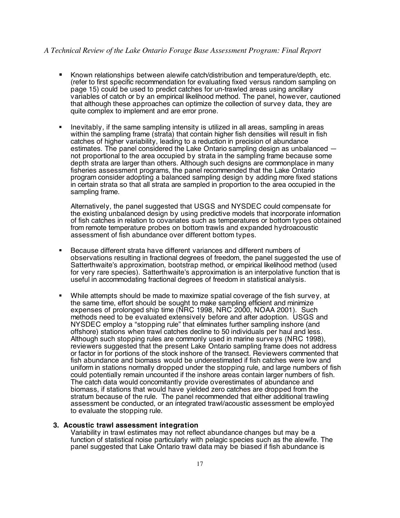- Known relationships between alewife catch/distribution and temperature/depth, etc. (refer to first specific recommendation for evaluating fixed versus random sampling on page 15) could be used to predict catches for un-trawled areas using ancillary variables of catch or by an empirical likelihood method. The panel, however, cautioned that although these approaches can optimize the collection of survey data, they are quite complex to implement and are error prone.
- Inevitably, if the same sampling intensity is utilized in all areas, sampling in areas within the sampling frame (strata) that contain higher fish densities will result in fish catches of higher variability, leading to a reduction in precision of abundance estimates. The panel considered the Lake Ontario sampling design as unbalanced not proportional to the area occupied by strata in the sampling frame because some depth strata are larger than others. Although such designs are commonplace in many fisheries assessment programs, the panel recommended that the Lake Ontario program consider adopting a balanced sampling design by adding more fixed stations in certain strata so that all strata are sampled in proportion to the area occupied in the sampling frame.

Alternatively, the panel suggested that USGS and NYSDEC could compensate for the existing unbalanced design by using predictive models that incorporate information of fish catches in relation to covariates such as temperatures or bottom types obtained from remote temperature probes on bottom trawls and expanded hydroacoustic assessment of fish abundance over different bottom types.

- Because different strata have different variances and different numbers of observations resulting in fractional degrees of freedom, the panel suggested the use of Satterthwaite's approximation, bootstrap method, or empirical likelihood method (used for very rare species). Satterthwaite's approximation is an interpolative function that is useful in accommodating fractional degrees of freedom in statistical analysis.
- While attempts should be made to maximize spatial coverage of the fish survey, at the same time, effort should be sought to make sampling efficient and minimize expenses of prolonged ship time (NRC 1998, NRC 2000, NOAA 2001). Such methods need to be evaluated extensively before and after adoption. USGS and NYSDEC employ a "stopping rule" that eliminates further sampling inshore (and offshore) stations when trawl catches decline to 50 individuals per haul and less. Although such stopping rules are commonly used in marine surveys (NRC 1998), reviewers suggested that the present Lake Ontario sampling frame does not address or factor in for portions of the stock inshore of the transect. Reviewers commented that fish abundance and biomass would be underestimated if fish catches were low and uniform in stations normally dropped under the stopping rule, and large numbers of fish could potentially remain uncounted if the inshore areas contain larger numbers of fish. The catch data would concomitantly provide overestimates of abundance and biomass, if stations that would have yielded zero catches are dropped from the stratum because of the rule. The panel recommended that either additional trawling assessment be conducted, or an integrated trawl/acoustic assessment be employed to evaluate the stopping rule.

#### **3. Acoustic trawl assessment integration**

Variability in trawl estimates may not reflect abundance changes but may be a function of statistical noise particularly with pelagic species such as the alewife. The panel suggested that Lake Ontario trawl data may be biased if fish abundance is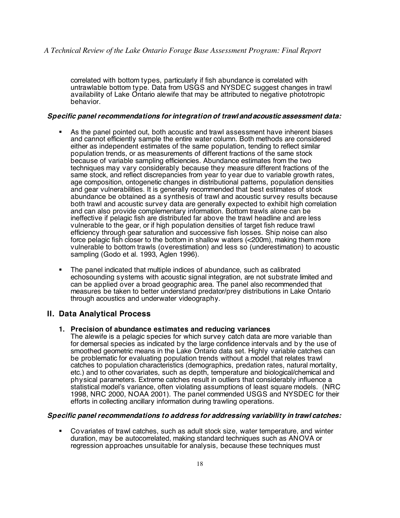correlated with bottom types, particularly if fish abundance is correlated with untrawlable bottom type. Data from USGS and NYSDEC suggest changes in trawl availability of Lake Ontario alewife that may be attributed to negative phototropic behavior.

#### **Specific panel recommendations for integration of trawl andacoustic assessment data:**

- As the panel pointed out, both acoustic and trawl assessment have inherent biases and cannot efficiently sample the entire water column. Both methods are considered either as independent estimates of the same population, tending to reflect similar population trends, or as measurements of different fractions of the same stock because of variable sampling efficiencies. Abundance estimates from the two techniques may vary considerably because they measure different fractions of the same stock, and reflect discrepancies from year to year due to variable growth rates, age composition, ontogenetic changes in distributional patterns, population densities and gear vulnerabilities. It is generally recommended that best estimates of stock abundance be obtained as a synthesis of trawl and acoustic survey results because both trawl and acoustic survey data are generally expected to exhibit high correlation and can also provide complementary information. Bottom trawls alone can be ineffective if pelagic fish are distributed far above the trawl headline and are less vulnerable to the gear, or if high population densities of target fish reduce trawl efficiency through gear saturation and successive fish losses. Ship noise can also force pelagic fish closer to the bottom in shallow waters (<200m), making them more vulnerable to bottom trawls (overestimation) and less so (underestimation) to acoustic sampling (Godo et al. 1993, Aglen 1996).
- The panel indicated that multiple indices of abundance, such as calibrated echosounding systems with acoustic signal integration, are not substrate limited and can be applied over a broad geographic area. The panel also recommended that measures be taken to better understand predator/prey distributions in Lake Ontario through acoustics and underwater videography.

## **II. Data Analytical Process**

#### **1. Precision of abundance estimates and reducing variances**

The alewife is a pelagic species for which survey catch data are more variable than for demersal species as indicated by the large confidence intervals and by the use of smoothed geometric means in the Lake Ontario data set. Highly variable catches can be problematic for evaluating population trends without a model that relates trawl catches to population characteristics (demographics, predation rates, natural mortality, etc.) and to other covariates, such as depth, temperature and biological/chemical and physical parameters. Extreme catches result in outliers that considerably influence a statistical model's variance, often violating assumptions of least square models. (NRC 1998, NRC 2000, NOAA 2001). The panel commended USGS and NYSDEC for their efforts in collecting ancillary information during trawling operations.

## **Specific panel recommendations to address for addressing variability in trawl catches:**

 Covariates of trawl catches, such as adult stock size, water temperature, and winter duration, may be autocorrelated, making standard techniques such as ANOVA or regression approaches unsuitable for analysis, because these techniques must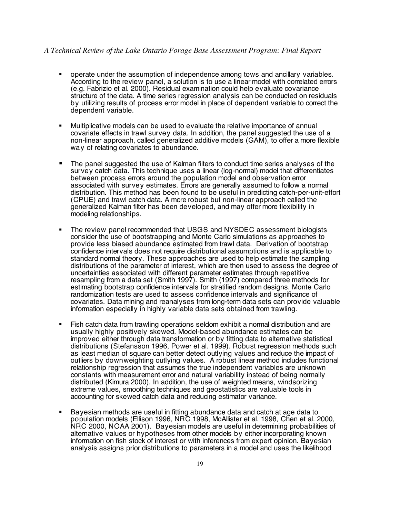- operate under the assumption of independence among tows and ancillary variables. According to the review panel, a solution is to use a linear model with correlated errors (e.g. Fabrizio et al. 2000). Residual examination could help evaluate covariance structure of the data. A time series regression analysis can be conducted on residuals by utilizing results of process error model in place of dependent variable to correct the dependent variable.
- Multiplicative models can be used to evaluate the relative importance of annual covariate effects in trawl survey data. In addition, the panel suggested the use of a non-linear approach, called generalized additive models (GAM), to offer a more flexible way of relating covariates to abundance.
- The panel suggested the use of Kalman filters to conduct time series analyses of the survey catch data. This technique uses a linear (log-normal) model that differentiates between process errors around the population model and observation error associated with survey estimates. Errors are generally assumed to follow a normal distribution. This method has been found to be useful in predicting catch-per-unit-effort (CPUE) and trawl catch data. A more robust but non-linear approach called the generalized Kalman filter has been developed, and may offer more flexibility in modeling relationships.
- The review panel recommended that USGS and NYSDEC assessment biologists consider the use of bootstrapping and Monte Carlo simulations as approaches to provide less biased abundance estimated from trawl data. Derivation of bootstrap confidence intervals does not require distributional assumptions and is applicable to standard normal theory. These approaches are used to help estimate the sampling distributions of the parameter of interest, which are then used to assess the degree of uncertainties associated with different parameter estimates through repetitive resampling from a data set (Smith 1997). Smith (1997) compared three methods for estimating bootstrap confidence intervals for stratified random designs. Monte Carlo randomization tests are used to assess confidence intervals and significance of covariates. Data mining and reanalyses from long-term data sets can provide valuable information especially in highly variable data sets obtained from trawling.
- Fish catch data from trawling operations seldom exhibit a normal distribution and are usually highly positively skewed. Model-based abundance estimates can be improved either through data transformation or by fitting data to alternative statistical distributions (Stefansson 1996, Power et al. 1999). Robust regression methods such as least median of square can better detect outlying values and reduce the impact of outliers by downweighting outlying values. A robust linear method includes functional relationship regression that assumes the true independent variables are unknown constants with measurement error and natural variability instead of being normally distributed (Kimura 2000). In addition, the use of weighted means, windsorizing extreme values, smoothing techniques and geostatistics are valuable tools in accounting for skewed catch data and reducing estimator variance.
- Bayesian methods are useful in fitting abundance data and catch at age data to population models (Ellison 1996, NRC 1998, McAllister et al. 1998, Chen et al. 2000, NRC 2000, NOAA 2001). Bayesian models are useful in determining probabilities of alternative values or hypotheses from other models by either incorporating known information on fish stock of interest or with inferences from expert opinion. Bayesian analysis assigns prior distributions to parameters in a model and uses the likelihood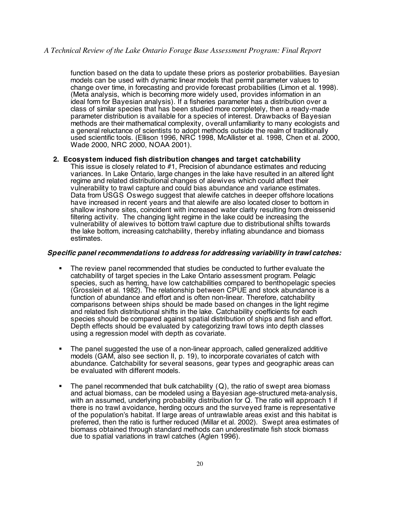function based on the data to update these priors as posterior probabilities. Bayesian models can be used with dynamic linear models that permit parameter values to change over time, in forecasting and provide forecast probabilities (Limon et al. 1998). (Meta analysis, which is becoming more widely used, provides information in an ideal form for Bayesian analysis). If a fisheries parameter has a distribution over a class of similar species that has been studied more completely, then a ready-made parameter distribution is available for a species of interest. Drawbacks of Bayesian methods are their mathematical complexity, overall unfamiliarity to many ecologists and a general reluctance of scientists to adopt methods outside the realm of traditionally used scientific tools. (Ellison 1996, NRC 1998, McAllister et al. 1998, Chen et al. 2000, Wade 2000, NRC 2000, NOAA 2001).

#### **2. Ecosystem induced fish distribution changes and target catchability**

This issue is closely related to #1, Precision of abundance estimates and reducing variances. In Lake Ontario, large changes in the lake have resulted in an altered light regime and related distributional changes of alewives which could affect their vulnerability to trawl capture and could bias abundance and variance estimates. Data from USGS Oswego suggest that alewife catches in deeper offshore locations have increased in recent years and that alewife are also located closer to bottom in shallow inshore sites, coincident with increased water clarity resulting from dreissenid filtering activity. The changing light regime in the lake could be increasing the vulnerability of alewives to bottom trawl capture due to distributional shifts towards the lake bottom, increasing catchability, thereby inflating abundance and biomass estimates.

#### **Specific panel recommendations to address for addressing variability in trawl catches:**

- The review panel recommended that studies be conducted to further evaluate the catchability of target species in the Lake Ontario assessment program. Pelagic species, such as herring, have low catchabilities compared to benthopelagic species (Grosslein et al. 1982). The relationship between CPUE and stock abundance is a function of abundance and effort and is often non-linear. Therefore, catchability comparisons between ships should be made based on changes in the light regime and related fish distributional shifts in the lake. Catchability coefficients for each species should be compared against spatial distribution of ships and fish and effort. Depth effects should be evaluated by categorizing trawl tows into depth classes using a regression model with depth as covariate.
- The panel suggested the use of a non-linear approach, called generalized additive models (GAM, also see section II, p. 19), to incorporate covariates of catch with abundance. Catchability for several seasons, gear types and geographic areas can be evaluated with different models.
- The panel recommended that bulk catchability  $(Q)$ , the ratio of swept area biomass and actual biomass, can be modeled using a Bayesian age-structured meta-analysis, with an assumed, underlying probability distribution for Q. The ratio will approach 1 if there is no trawl avoidance, herding occurs and the surveyed frame is representative of the population's habitat. If large areas of untrawlable areas exist and this habitat is preferred, then the ratio is further reduced (Millar et al. 2002). Swept area estimates of biomass obtained through standard methods can underestimate fish stock biomass due to spatial variations in trawl catches (Aglen 1996).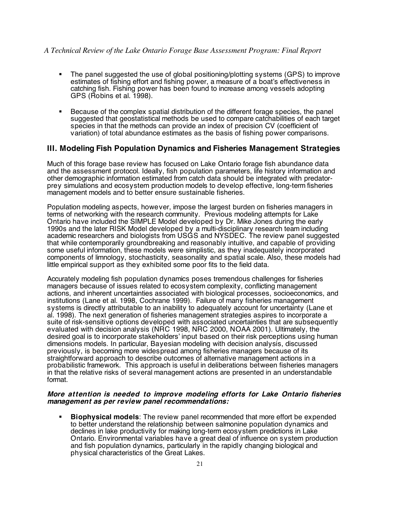- The panel suggested the use of global positioning/plotting systems (GPS) to improve estimates of fishing effort and fishing power, a measure of a boat's effectiveness in catching fish. Fishing power has been found to increase among vessels adopting GPS (Robins et al. 1998).
- Because of the complex spatial distribution of the different forage species, the panel suggested that geostatistical methods be used to compare catchabilities of each target species in that the methods can provide an index of precision CV (coefficient of variation) of total abundance estimates as the basis of fishing power comparisons.

# **III. Modeling Fish Population Dynamics and Fisheries Management Strategies**

Much of this forage base review has focused on Lake Ontario forage fish abundance data and the assessment protocol. Ideally, fish population parameters, life history information and other demographic information estimated from catch data should be integrated with predatorprey simulations and ecosystem production models to develop effective, long-term fisheries management models and to better ensure sustainable fisheries.

Population modeling aspects, however, impose the largest burden on fisheries managers in terms of networking with the research community. Previous modeling attempts for Lake Ontario have included the SIMPLE Model developed by Dr. Mike Jones during the early 1990s and the later RISK Model developed by a multi-disciplinary research team including academic researchers and biologists from USGS and NYSDEC. The review panel suggested that while contemporarily groundbreaking and reasonably intuitive, and capable of providing some useful information, these models were simplistic, as they inadequately incorporated components of limnology, stochasticity, seasonality and spatial scale. Also, these models had little empirical support as they exhibited some poor fits to the field data.

Accurately modeling fish population dynamics poses tremendous challenges for fisheries managers because of issues related to ecosystem complexity, conflicting management actions, and inherent uncertainties associated with biological processes, socioeconomics, and institutions (Lane et al. 1998, Cochrane 1999). Failure of many fisheries management systems is directly attributable to an inability to adequately account for uncertainty (Lane et al. 1998). The next generation of fisheries management strategies aspires to incorporate a suite of risk-sensitive options developed with associated uncertainties that are subsequently evaluated with decision analysis (NRC 1998, NRC 2000, NOAA 2001). Ultimately, the desired goal is to incorporate stakeholders' input based on their risk perceptions using human dimensions models. In particular, Bayesian modeling with decision analysis, discussed previously, is becoming more widespread among fisheries managers because of its straightforward approach to describe outcomes of alternative management actions in a probabilistic framework. This approach is useful in deliberations between fisheries managers in that the relative risks of several management actions are presented in an understandable format.

#### **More attention is needed to improve modeling efforts for Lake Ontario fisheries management as per review panel recommendations:**

 **Biophysical models**: The review panel recommended that more effort be expended to better understand the relationship between salmonine population dynamics and declines in lake productivity for making long-term ecosystem predictions in Lake Ontario. Environmental variables have a great deal of influence on system production and fish population dynamics, particularly in the rapidly changing biological and physical characteristics of the Great Lakes.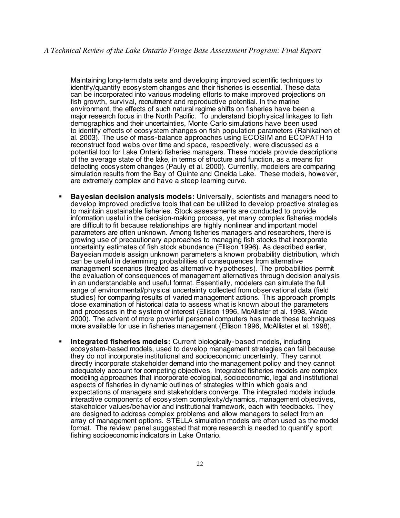Maintaining long-term data sets and developing improved scientific techniques to identify/quantify ecosystem changes and their fisheries is essential. These data can be incorporated into various modeling efforts to make improved projections on fish growth, survival, recruitment and reproductive potential. In the marine environment, the effects of such natural regime shifts on fisheries have been a major research focus in the North Pacific. To understand biophysical linkages to fish demographics and their uncertainties, Monte Carlo simulations have been used to identify effects of ecosystem changes on fish population parameters (Rahikainen et al. 2003). The use of mass-balance approaches using ECOSIM and ECOPATH to reconstruct food webs over time and space, respectively, were discussed as a potential tool for Lake Ontario fisheries managers. These models provide descriptions of the average state of the lake, in terms of structure and function, as a means for detecting ecosystem changes (Pauly et al. 2000). Currently, modelers are comparing simulation results from the Bay of Quinte and Oneida Lake. These models, however, are extremely complex and have a steep learning curve.

- **Bayesian decision analysis models:** Universally, scientists and managers need to develop improved predictive tools that can be utilized to develop proactive strategies to maintain sustainable fisheries. Stock assessments are conducted to provide information useful in the decision-making process, yet many complex fisheries models are difficult to fit because relationships are highly nonlinear and important model parameters are often unknown. Among fisheries managers and researchers, there is growing use of precautionary approaches to managing fish stocks that incorporate uncertainty estimates of fish stock abundance (Ellison 1996). As described earlier, Bayesian models assign unknown parameters a known probability distribution, which can be useful in determining probabilities of consequences from alternative management scenarios (treated as alternative hypotheses). The probabilities permit the evaluation of consequences of management alternatives through decision analysis in an understandable and useful format. Essentially, modelers can simulate the full range of environmental/physical uncertainty collected from observational data (field studies) for comparing results of varied management actions. This approach prompts close examination of historical data to assess what is known about the parameters and processes in the system of interest (Ellison 1996, McAllister et al. 1998, Wade 2000). The advent of more powerful personal computers has made these techniques more available for use in fisheries management (Ellison 1996, McAllister et al. 1998).
- **Integrated fisheries models:** Current biologically-based models, including ecosystem-based models, used to develop management strategies can fail because they do not incorporate institutional and socioeconomic uncertainty. They cannot directly incorporate stakeholder demand into the management policy and they cannot adequately account for competing objectives. Integrated fisheries models are complex modeling approaches that incorporate ecological, socioeconomic, legal and institutional aspects of fisheries in dynamic outlines of strategies within which goals and expectations of managers and stakeholders converge. The integrated models include interactive components of ecosystem complexity/dynamics, management objectives, stakeholder values/behavior and institutional framework, each with feedbacks. They are designed to address complex problems and allow managers to select from an array of management options. STELLA simulation models are often used as the model format. The review panel suggested that more research is needed to quantify sport fishing socioeconomic indicators in Lake Ontario.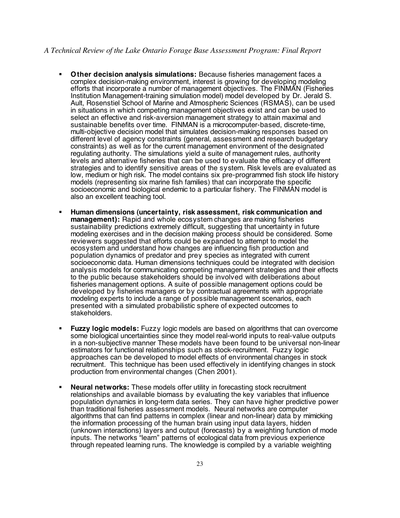- **Other decision analysis simulations:** Because fisheries management faces a complex decision-making environment, interest is growing for developing modeling efforts that incorporate a number of management objectives. The FINMAN (Fisheries Institution Management-training simulation model) model developed by Dr. Jerald S. Ault, Rosenstiel School of Marine and Atmospheric Sciences (RSMAS), can be used in situations in which competing management objectives exist and can be used to select an effective and risk-aversion management strategy to attain maximal and sustainable benefits over time. FINMAN is a microcomputer-based, discrete-time, multi-objective decision model that simulates decision-making responses based on different level of agency constraints (general, assessment and research budgetary constraints) as well as for the current management environment of the designated regulating authority. The simulations yield a suite of management rules, authority levels and alternative fisheries that can be used to evaluate the efficacy of different strategies and to identify sensitive areas of the system. Risk levels are evaluated as low, medium or high risk. The model contains six pre-programmed fish stock life history models (representing six marine fish families) that can incorporate the specific socioeconomic and biological endemic to a particular fishery. The FINMAN model is also an excellent teaching tool.
- **Human dimensions (uncertainty, risk assessment, risk communication and management):** Rapid and whole ecosystem changes are making fisheries sustainability predictions extremely difficult, suggesting that uncertainty in future modeling exercises and in the decision making process should be considered. Some reviewers suggested that efforts could be expanded to attempt to model the ecosystem and understand how changes are influencing fish production and population dynamics of predator and prey species as integrated with current socioeconomic data. Human dimensions techniques could be integrated with decision analysis models for communicating competing management strategies and their effects to the public because stakeholders should be involved with deliberations about fisheries management options. A suite of possible management options could be developed by fisheries managers or by contractual agreements with appropriate modeling experts to include a range of possible management scenarios, each presented with a simulated probabilistic sphere of expected outcomes to stakeholders.
- **Fuzzy logic models:** Fuzzy logic models are based on algorithms that can overcome some biological uncertainties since they model real-world inputs to real-value outputs in a non-subjective manner These models have been found to be universal non-linear estimators for functional relationships such as stock-recruitment. Fuzzy logic approaches can be developed to model effects of environmental changes in stock recruitment. This technique has been used effectively in identifying changes in stock production from environmental changes (Chen 2001).
- **Neural networks:** These models offer utility in forecasting stock recruitment relationships and available biomass by evaluating the key variables that influence population dynamics in long-term data series. They can have higher predictive power than traditional fisheries assessment models. Neural networks are computer algorithms that can find patterns in complex (linear and non-linear) data by mimicking the information processing of the human brain using input data layers, hidden (unknown interactions) layers and output (forecasts) by a weighting function of mode inputs. The networks "learn" patterns of ecological data from previous experience through repeated learning runs. The knowledge is compiled by a variable weighting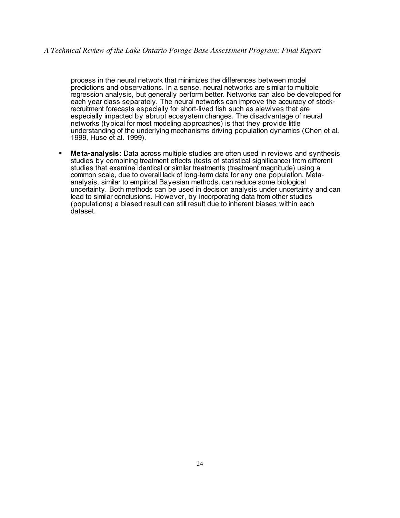process in the neural network that minimizes the differences between model predictions and observations. In a sense, neural networks are similar to multiple regression analysis, but generally perform better. Networks can also be developed for each year class separately. The neural networks can improve the accuracy of stockrecruitment forecasts especially for short-lived fish such as alewives that are especially impacted by abrupt ecosystem changes. The disadvantage of neural networks (typical for most modeling approaches) is that they provide little understanding of the underlying mechanisms driving population dynamics (Chen et al. 1999, Huse et al. 1999).

 **Meta-analysis:** Data across multiple studies are often used in reviews and synthesis studies by combining treatment effects (tests of statistical significance) from different studies that examine identical or similar treatments (treatment magnitude) using a common scale, due to overall lack of long-term data for any one population. Metaanalysis, similar to empirical Bayesian methods, can reduce some biological uncertainty. Both methods can be used in decision analysis under uncertainty and can lead to similar conclusions. However, by incorporating data from other studies (populations) a biased result can still result due to inherent biases within each dataset.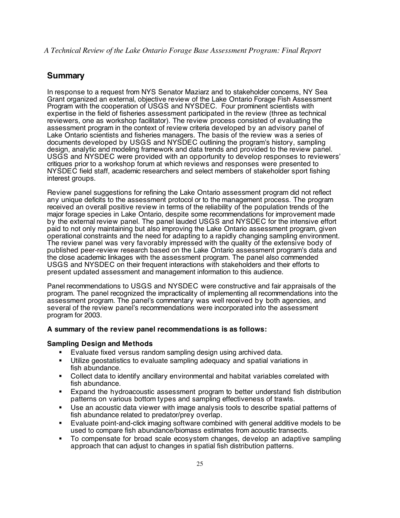# **Summary**

In response to a request from NYS Senator Maziarz and to stakeholder concerns, NY Sea Grant organized an external, objective review of the Lake Ontario Forage Fish Assessment Program with the cooperation of USGS and NYSDEC. Four prominent scientists with expertise in the field of fisheries assessment participated in the review (three as technical reviewers, one as workshop facilitator). The review process consisted of evaluating the assessment program in the context of review criteria developed by an advisory panel of Lake Ontario scientists and fisheries managers. The basis of the review was a series of documents developed by USGS and NYSDEC outlining the program's history, sampling design, analytic and modeling framework and data trends and provided to the review panel. USGS and NYSDEC were provided with an opportunity to develop responses to reviewers' critiques prior to a workshop forum at which reviews and responses were presented to NYSDEC field staff, academic researchers and select members of stakeholder sport fishing interest groups.

Review panel suggestions for refining the Lake Ontario assessment program did not reflect any unique deficits to the assessment protocol or to the management process. The program received an overall positive review in terms of the reliability of the population trends of the major forage species in Lake Ontario, despite some recommendations for improvement made by the external review panel. The panel lauded USGS and NYSDEC for the intensive effort paid to not only maintaining but also improving the Lake Ontario assessment program, given operational constraints and the need for adapting to a rapidly changing sampling environment. The review panel was very favorably impressed with the quality of the extensive body of published peer-review research based on the Lake Ontario assessment program's data and the close academic linkages with the assessment program. The panel also commended USGS and NYSDEC on their frequent interactions with stakeholders and their efforts to present updated assessment and management information to this audience.

Panel recommendations to USGS and NYSDEC were constructive and fair appraisals of the program. The panel recognized the impracticality of implementing all recommendations into the assessment program. The panel's commentary was well received by both agencies, and several of the review panel's recommendations were incorporated into the assessment program for 2003.

#### **A summary of the review panel recommendations is as follows:**

#### **Sampling Design and Methods**

- Evaluate fixed versus random sampling design using archived data.
- Utilize geostatistics to evaluate sampling adequacy and spatial variations in fish abundance.
- Collect data to identify ancillary environmental and habitat variables correlated with fish abundance.
- Expand the hydroacoustic assessment program to better understand fish distribution patterns on various bottom types and sampling effectiveness of trawls.
- Use an acoustic data viewer with image analysis tools to describe spatial patterns of fish abundance related to predator/prey overlap.
- Evaluate point-and-click imaging software combined with general additive models to be used to compare fish abundance/biomass estimates from acoustic transects.
- To compensate for broad scale ecosystem changes, develop an adaptive sampling approach that can adjust to changes in spatial fish distribution patterns.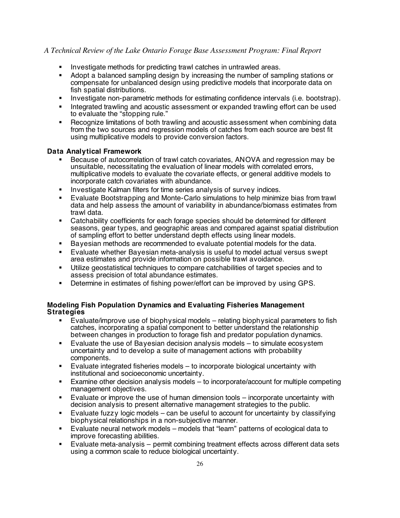- Investigate methods for predicting trawl catches in untrawled areas.
- Adopt a balanced sampling design by increasing the number of sampling stations or compensate for unbalanced design using predictive models that incorporate data on fish spatial distributions.
- **Investigate non-parametric methods for estimating confidence intervals (i.e. bootstrap).**
- Integrated trawling and acoustic assessment or expanded trawling effort can be used to evaluate the "stopping rule."
- Recognize limitations of both trawling and acoustic assessment when combining data from the two sources and regression models of catches from each source are best fit using multiplicative models to provide conversion factors.

#### **Data Analytical Framework**

- Because of autocorrelation of trawl catch covariates, ANOVA and regression may be unsuitable, necessitating the evaluation of linear models with correlated errors, multiplicative models to evaluate the covariate effects, or general additive models to incorporate catch covariates with abundance.
- Investigate Kalman filters for time series analysis of survey indices.
- Evaluate Bootstrapping and Monte-Carlo simulations to help minimize bias from trawl data and help assess the amount of variability in abundance/biomass estimates from trawl data.
- Catchability coefficients for each forage species should be determined for different seasons, gear types, and geographic areas and compared against spatial distribution of sampling effort to better understand depth effects using linear models.
- Bayesian methods are recommended to evaluate potential models for the data.
- Evaluate whether Bayesian meta-analysis is useful to model actual versus swept area estimates and provide information on possible trawl avoidance.
- Utilize geostatistical techniques to compare catchabilities of target species and to assess precision of total abundance estimates.
- Determine in estimates of fishing power/effort can be improved by using GPS.

## **Modeling Fish Population Dynamics and Evaluating Fisheries Management Strategies**

- Evaluate/improve use of biophysical models relating biophysical parameters to fish catches, incorporating a spatial component to better understand the relationship between changes in production to forage fish and predator population dynamics.
- Evaluate the use of Bayesian decision analysis models to simulate ecosystem uncertainty and to develop a suite of management actions with probability components.
- Evaluate integrated fisheries models to incorporate biological uncertainty with institutional and socioeconomic uncertainty.
- Examine other decision analysis models to incorporate/account for multiple competing management objectives.
- Evaluate or improve the use of human dimension tools incorporate uncertainty with decision analysis to present alternative management strategies to the public.
- Evaluate fuzzy logic models can be useful to account for uncertainty by classifying biophysical relationships in a non-subjective manner.
- Evaluate neural network models models that "learn" patterns of ecological data to improve forecasting abilities.
- Evaluate meta-analysis permit combining treatment effects across different data sets using a common scale to reduce biological uncertainty.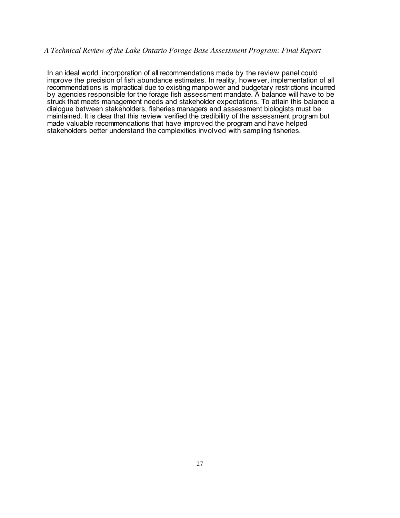In an ideal world, incorporation of all recommendations made by the review panel could improve the precision of fish abundance estimates. In reality, however, implementation of all recommendations is impractical due to existing manpower and budgetary restrictions incurred by agencies responsible for the forage fish assessment mandate. A balance will have to be struck that meets management needs and stakeholder expectations. To attain this balance a dialogue between stakeholders, fisheries managers and assessment biologists must be maintained. It is clear that this review verified the credibility of the assessment program but made valuable recommendations that have improved the program and have helped stakeholders better understand the complexities involved with sampling fisheries.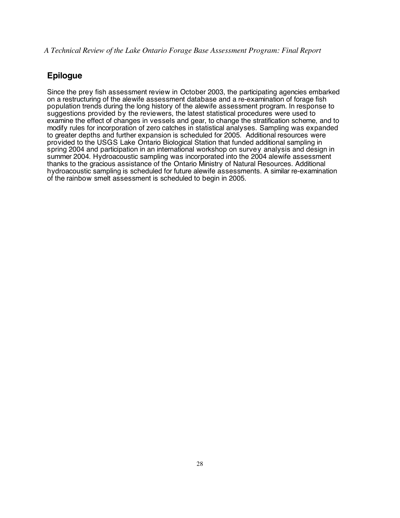# **Epilogue**

Since the prey fish assessment review in October 2003, the participating agencies embarked on a restructuring of the alewife assessment database and a re-examination of forage fish population trends during the long history of the alewife assessment program. In response to suggestions provided by the reviewers, the latest statistical procedures were used to examine the effect of changes in vessels and gear, to change the stratification scheme, and to modify rules for incorporation of zero catches in statistical analyses. Sampling was expanded to greater depths and further expansion is scheduled for 2005. Additional resources were provided to the USGS Lake Ontario Biological Station that funded additional sampling in spring 2004 and participation in an international workshop on survey analysis and design in summer 2004. Hydroacoustic sampling was incorporated into the 2004 alewife assessment thanks to the gracious assistance of the Ontario Ministry of Natural Resources. Additional hydroacoustic sampling is scheduled for future alewife assessments. A similar re-examination of the rainbow smelt assessment is scheduled to begin in 2005.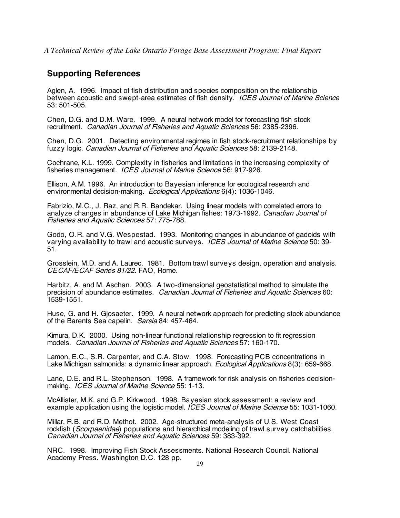# **Supporting References**

Aglen, A. 1996. Impact of fish distribution and species composition on the relationship between acoustic and swept-area estimates of fish density. ICES Journal of Marine Science 53: 501-505.

Chen, D.G. and D.M. Ware. 1999. A neural network model for forecasting fish stock recruitment. Canadian Journal of Fisheries and Aquatic Sciences 56: 2385-2396.

Chen, D.G. 2001. Detecting environmental regimes in fish stock-recruitment relationships by fuzzy logic. Canadian Journal of Fisheries and Aquatic Sciences 58: 2139-2148.

Cochrane, K.L. 1999. Complexity in fisheries and limitations in the increasing complexity of fisheries management. ICES Journal of Marine Science 56: 917-926.

Ellison, A.M. 1996. An introduction to Bayesian inference for ecological research and environmental decision-making. Ecological Applications 6(4): 1036-1046.

Fabrizio, M.C., J. Raz, and R.R. Bandekar. Using linear models with correlated errors to analyze changes in abundance of Lake Michigan fishes: 1973-1992. Canadian Journal of Fisheries and Aquatic Sciences 57: 775-788.

Godo, O.R. and V.G. Wespestad. 1993. Monitoring changes in abundance of gadoids with varying availability to trawl and acoustic surveys. ICES Journal of Marine Science 50: 39- 51.

Grosslein, M.D. and A. Laurec. 1981. Bottom trawl surveys design, operation and analysis. CECAF/ECAF Series 81/22. FAO, Rome.

Harbitz, A. and M. Aschan. 2003. A two-dimensional geostatistical method to simulate the precision of abundance estimates. Canadian Journal of Fisheries and Aquatic Sciences 60: 1539-1551.

Huse, G. and H. Gjosaeter. 1999. A neural network approach for predicting stock abundance of the Barents Sea capelin. Sarsia 84: 457-464.

Kimura, D.K. 2000. Using non-linear functional relationship regression to fit regression models. Canadian Journal of Fisheries and Aquatic Sciences 57: 160-170.

Lamon, E.C., S.R. Carpenter, and C.A. Stow. 1998. Forecasting PCB concentrations in Lake Michigan salmonids: a dynamic linear approach. *Ecological Applications* 8(3): 659-668.

Lane, D.E. and R.L. Stephenson. 1998. A framework for risk analysis on fisheries decisionmaking. ICES Journal of Marine Science 55: 1-13.

McAllister, M.K. and G.P. Kirkwood. 1998. Bayesian stock assessment: a review and example application using the logistic model. ICES Journal of Marine Science 55: 1031-1060.

Millar, R.B. and R.D. Methot. 2002. Age-structured meta-analysis of U.S. West Coast rockfish (Scorpaenidae) populations and hierarchical modeling of trawl survey catchabilities. Canadian Journal of Fisheries and Aquatic Sciences 59: 383-392.

NRC. 1998. Improving Fish Stock Assessments. National Research Council. National Academy Press. Washington D.C. 128 pp.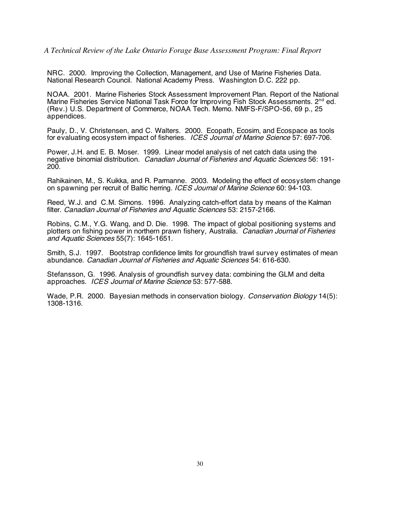NRC. 2000. Improving the Collection, Management, and Use of Marine Fisheries Data. National Research Council. National Academy Press. Washington D.C. 222 pp.

NOAA. 2001. Marine Fisheries Stock Assessment Improvement Plan. Report of the National Marine Fisheries Service National Task Force for Improving Fish Stock Assessments. 2<sup>nd</sup> ed. (Rev.) U.S. Department of Commerce, NOAA Tech. Memo. NMFS-F/SPO-56, 69 p., 25 appendices.

Pauly, D., V. Christensen, and C. Walters. 2000. Ecopath, Ecosim, and Ecospace as tools for evaluating ecosystem impact of fisheries. ICES Journal of Marine Science 57: 697-706.

Power, J.H. and E. B. Moser. 1999. Linear model analysis of net catch data using the negative binomial distribution. Canadian Journal of Fisheries and Aquatic Sciences 56: 191- 200.

Rahikainen, M., S. Kuikka, and R. Parmanne. 2003. Modeling the effect of ecosystem change on spawning per recruit of Baltic herring. ICES Journal of Marine Science 60: 94-103.

Reed, W.J. and C.M. Simons. 1996. Analyzing catch-effort data by means of the Kalman filter. Canadian Journal of Fisheries and Aquatic Sciences 53: 2157-2166.

Robins, C.M., Y.G. Wang, and D. Die. 1998. The impact of global positioning systems and plotters on fishing power in northern prawn fishery, Australia. Canadian Journal of Fisheries and Aquatic Sciences 55(7): 1645-1651.

Smith, S.J. 1997. Bootstrap confidence limits for groundfish trawl survey estimates of mean abundance. Canadian Journal of Fisheries and Aquatic Sciences 54: 616-630.

Stefansson, G. 1996. Analysis of groundfish survey data: combining the GLM and delta approaches. ICES Journal of Marine Science 53: 577-588.

Wade, P.R. 2000. Bayesian methods in conservation biology. Conservation Biology 14(5): 1308-1316.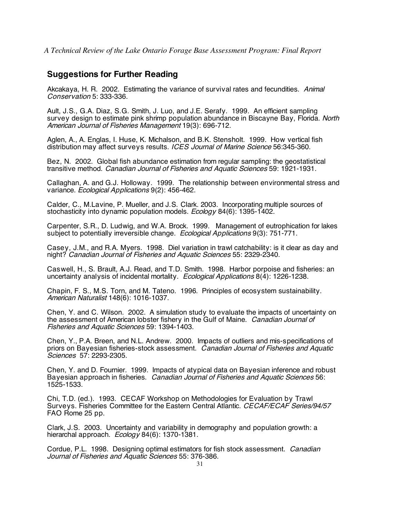# **Suggestions for Further Reading**

Akcakaya, H. R. 2002. Estimating the variance of survival rates and fecundities. Animal Conservation 5: 333-336.

Ault, J.S., G.A. Diaz, S.G. Smith, J. Luo, and J.E. Serafy. 1999. An efficient sampling survey design to estimate pink shrimp population abundance in Biscayne Bay, Florida. North American Journal of Fisheries Management 19(3): 696-712.

Aglen, A., A. Englas, I. Huse, K. Michalson, and B.K. Stensholt. 1999. How vertical fish distribution may affect surveys results. ICES Journal of Marine Science 56:345-360.

Bez, N. 2002. Global fish abundance estimation from regular sampling: the geostatistical transitive method. Canadian Journal of Fisheries and Aquatic Sciences 59: 1921-1931.

Callaghan, A. and G.J. Holloway. 1999. The relationship between environmental stress and variance. Ecological Applications 9(2): 456-462.

Calder, C., M.Lavine, P. Mueller, and J.S. Clark. 2003. Incorporating multiple sources of stochasticity into dynamic population models. Ecology 84(6): 1395-1402.

Carpenter, S.R., D. Ludwig, and W.A. Brock. 1999. Management of eutrophication for lakes subject to potentially irreversible change. Ecological Applications 9(3): 751-771.

Casey, J.M., and R.A. Myers. 1998. Diel variation in trawl catchability: is it clear as day and night? Canadian Journal of Fisheries and Aquatic Sciences 55: 2329-2340.

Caswell, H., S. Brault, A.J. Read, and T.D. Smith. 1998. Harbor porpoise and fisheries: an uncertainty analysis of incidental mortality. Ecological Applications 8(4): 1226-1238.

Chapin, F. S., M.S. Torn, and M. Tateno. 1996. Principles of ecosystem sustainability. American Naturalist 148(6): 1016-1037.

Chen, Y. and C. Wilson. 2002. A simulation study to evaluate the impacts of uncertainty on the assessment of American lobster fishery in the Gulf of Maine. Canadian Journal of Fisheries and Aquatic Sciences 59: 1394-1403.

Chen, Y., P.A. Breen, and N.L. Andrew. 2000. Impacts of outliers and mis-specifications of priors on Bayesian fisheries-stock assessment. Canadian Journal of Fisheries and Aquatic Sciences 57: 2293-2305.

Chen, Y. and D. Fournier. 1999. Impacts of atypical data on Bayesian inference and robust Bayesian approach in fisheries. Canadian Journal of Fisheries and Aquatic Sciences 56: 1525-1533.

Chi, T.D. (ed.). 1993. CECAF Workshop on Methodologies for Evaluation by Trawl Surveys. Fisheries Committee for the Eastern Central Atlantic. CECAF/ECAF Series/94/57 FAO Rome 25 pp.

Clark, J.S. 2003. Uncertainty and variability in demography and population growth: a hierarchal approach. Ecology 84(6): 1370-1381.

Cordue, P.L. 1998. Designing optimal estimators for fish stock assessment. Canadian Journal of Fisheries and Aquatic Sciences 55: 376-386.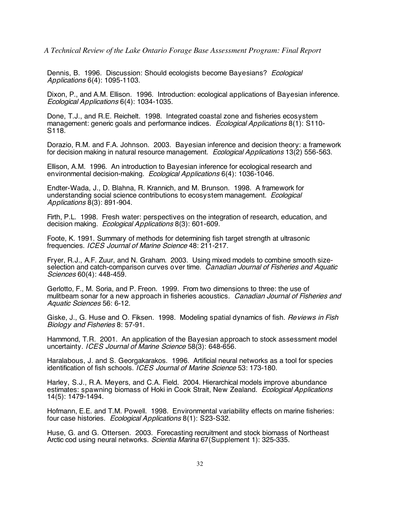Dennis, B. 1996. Discussion: Should ecologists become Bayesians? Ecological Applications 6(4): 1095-1103.

Dixon, P., and A.M. Ellison. 1996. Introduction: ecological applications of Bayesian inference. Ecological Applications 6(4): 1034-1035.

Done, T.J., and R.E. Reichelt. 1998. Integrated coastal zone and fisheries ecosystem management: generic goals and performance indices. Ecological Applications 8(1): S110-S118.

Dorazio, R.M. and F.A. Johnson. 2003. Bayesian inference and decision theory: a framework for decision making in natural resource management. Ecological Applications 13(2) 556-563.

Ellison, A.M. 1996. An introduction to Bayesian inference for ecological research and environmental decision-making. Ecological Applications 6(4): 1036-1046.

Endter-Wada, J., D. Blahna, R. Krannich, and M. Brunson. 1998. A framework for understanding social science contributions to ecosystem management. *Ecological* Applications 8(3): 891-904.

Firth, P.L. 1998. Fresh water: perspectives on the integration of research, education, and decision making. Ecological Applications 8(3): 601-609.

Foote, K. 1991. Summary of methods for determining fish target strength at ultrasonic frequencies. ICES Journal of Marine Science 48: 211-217.

Fryer, R.J., A.F. Zuur, and N. Graham. 2003. Using mixed models to combine smooth sizeselection and catch-comparison curves over time. Canadian Journal of Fisheries and Aquatic Sciences 60(4): 448-459.

Gerlotto, F., M. Soria, and P. Freon. 1999. From two dimensions to three: the use of mulitbeam sonar for a new approach in fisheries acoustics. Canadian Journal of Fisheries and Aquatic Sciences 56: 6-12.

Giske, J., G. Huse and O. Fiksen. 1998. Modeling spatial dynamics of fish. *Reviews in Fish* Biology and Fisheries 8: 57-91.

Hammond, T.R. 2001. An application of the Bayesian approach to stock assessment model uncertainty. ICES Journal of Marine Science 58(3): 648-656.

Haralabous, J. and S. Georgakarakos. 1996. Artificial neural networks as a tool for species identification of fish schools. *ICES Journal of Marine Science* 53: 173-180.

Harley, S.J., R.A. Meyers, and C.A. Field. 2004. Hierarchical models improve abundance estimates: spawning biomass of Hoki in Cook Strait, New Zealand. Ecological Applications 14(5): 1479-1494.

Hofmann, E.E. and T.M. Powell. 1998. Environmental variability effects on marine fisheries: four case histories. Ecological Applications 8(1): S23-S32.

Huse, G. and G. Ottersen. 2003. Forecasting recruitment and stock biomass of Northeast Arctic cod using neural networks. Scientia Marina 67 (Supplement 1): 325-335.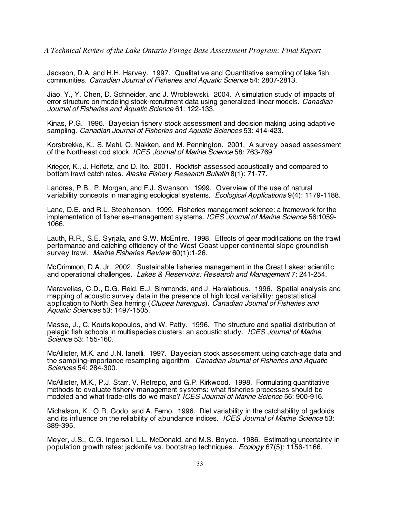Jackson, D.A. and H.H. Harvey. 1997. Qualitative and Quantitative sampling of lake fish communities. Canadian Journal of Fisheries and Aquatic Science 54: 2807-2813.

Jiao, Y., Y. Chen, D. Schneider, and J. Wroblewski. 2004. A simulation study of impacts of error structure on modeling stock-recruitment data using generalized linear models. *Canadian* Journal of Fisheries and Aquatic Science 61: 122-133.

Kinas, P.G. 1996. Bayesian fishery stock assessment and decision making using adaptive sampling. Canadian Journal of Fisheries and Aquatic Sciences 53: 414-423.

Korsbrekke, K., S. Mehl, O. Nakken, and M. Pennington. 2001. A survey based assessment of the Northeast cod stock. ICES Journal of Marine Science 58: 763-769.

Krieger, K., J. Heifetz, and D. Ito. 2001. Rockfish assessed acoustically and compared to bottom trawl catch rates. Alaska Fishery Research Bulletin 8(1): 71-77.

Landres, P.B., P. Morgan, and F.J. Swanson. 1999. Overview of the use of natural variability concepts in managing ecological systems. Ecological Applications 9(4): 1179-1188.

Lane, D.E. and R.L. Stephenson. 1999. Fisheries management science: a framework for the implementation of fisheries–management systems. ICES Journal of Marine Science 56:1059-<br>1066.

Lauth, R.R., S.E. Syrjala, and S.W. McEntire. 1998. Effects of gear modifications on the trawl performance and catching efficiency of the West Coast upper continental slope groundfish survey trawl. Marine Fisheries Review 60(1):1-26.

McCrimmon, D.A. Jr. 2002. Sustainable fisheries management in the Great Lakes: scientific and operational challenges. Lakes & Reservoirs: Research and Management 7: 241-254.

Maravelias, C.D., D.G. Reid, E.J. Simmonds, and J. Haralabous. 1996. Spatial analysis and mapping of acoustic survey data in the presence of high local variability: geostatistical application to North Sea herring (Clupea harengus). Canadian Journal of Fisheries and Aquatic Sciences 53: 1497-1505.

Masse, J., C. Koutsikopoulos, and W. Patty. 1996. The structure and spatial distribution of pelagic fish schools in multispecies clusters: an acoustic study. ICES Journal of Marine Science 53: 155-160.

McAllister, M.K. and J.N. Ianelli. 1997. Bayesian stock assessment using catch-age data and the sampling-importance resampling algorithm. Canadian Journal of Fisheries and Aquatic Sciences 54: 284-300.

McAllister, M.K., P.J. Starr, V. Retrepo, and G.P. Kirkwood. 1998. Formulating quantitative methods to evaluate fishery-management systems: what fisheries processes should be modeled and what trade-offs do we make? *ICES Journal of Marine Science* 56: 900-916.

Michalson, K., O.R. Godo, and A. Ferno. 1996. Diel variability in the catchability of gadoids and its influence on the reliability of abundance indices. ICES Journal of Marine Science 53: 389-395.

Meyer, J.S., C.G. Ingersoll, L.L. McDonald, and M.S. Boyce. 1986. Estimating uncertainty in population growth rates: jackknife vs. bootstrap techniques. Ecology 67(5): 1156-1166.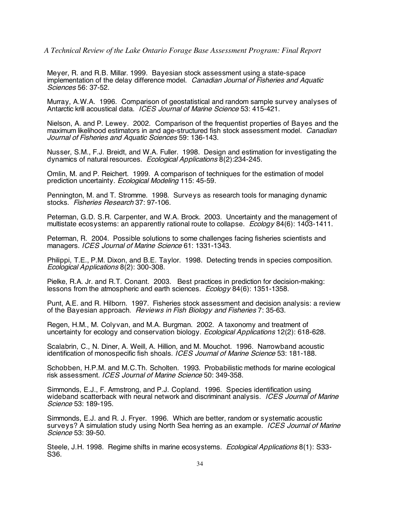Meyer, R. and R.B. Millar. 1999. Bayesian stock assessment using a state-space implementation of the delay difference model. Canadian Journal of Fisheries and Aquatic Sciences 56: 37-52.

Murray, A.W.A. 1996. Comparison of geostatistical and random sample survey analyses of Antarctic krill acoustical data. *ICES Journal of Marine Science* 53: 415-421.

Nielson, A. and P. Lewey. 2002. Comparison of the frequentist properties of Bayes and the maximum likelihood estimators in and age-structured fish stock assessment model. *Canadian* Journal of Fisheries and Aquatic Sciences 59: 136-143.

Nusser, S.M., F.J. Breidt, and W.A. Fuller. 1998. Design and estimation for investigating the dynamics of natural resources. Ecological Applications 8(2):234-245.

Omlin, M. and P. Reichert. 1999. A comparison of techniques for the estimation of model prediction uncertainty. Ecological Modeling 115: 45-59.

Pennington, M. and T. Stromme. 1998. Surveys as research tools for managing dynamic stocks. Fisheries Research 37: 97-106.

Peterman, G.D. S.R. Carpenter, and W.A. Brock. 2003. Uncertainty and the management of multistate ecosystems: an apparently rational route to collapse.  $Ecology 84(6)$ : 1403-1411.

Peterman, R. 2004. Possible solutions to some challenges facing fisheries scientists and managers. ICES Journal of Marine Science 61: 1331-1343.

Philippi, T.E., P.M. Dixon, and B.E. Taylor. 1998. Detecting trends in species composition. Ecological Applications 8(2): 300-308.

Pielke, R.A. Jr. and R.T. Conant. 2003. Best practices in prediction for decision-making: lessons from the atmospheric and earth sciences. Ecology 84(6): 1351-1358.

Punt, A.E. and R. Hilborn. 1997. Fisheries stock assessment and decision analysis: a review of the Bayesian approach. Reviews in Fish Biology and Fisheries 7: 35-63.

Regen, H.M., M. Colyvan, and M.A. Burgman. 2002. A taxonomy and treatment of uncertainty for ecology and conservation biology. Ecological Applications 12(2): 618-628.

Scalabrin, C., N. Diner, A. Weill, A. Hillion, and M. Mouchot. 1996. Narrowband acoustic identification of monospecific fish shoals. ICES Journal of Marine Science 53: 181-188.

Schobben, H.P.M. and M.C.Th. Scholten. 1993. Probabilistic methods for marine ecological risk assessment. ICES Journal of Marine Science 50: 349-358.

Simmonds, E.J., F. Armstrong, and P.J. Copland. 1996. Species identification using wideband scatterback with neural network and discriminant analysis. ICES Journal of Marine Science 53: 189-195.

Simmonds, E.J. and R. J. Fryer. 1996. Which are better, random or systematic acoustic surveys? A simulation study using North Sea herring as an example. *ICES Journal of Marine* Science 53: 39-50.

Steele, J.H. 1998. Regime shifts in marine ecosystems. *Ecological Applications* 8(1): S33-S36.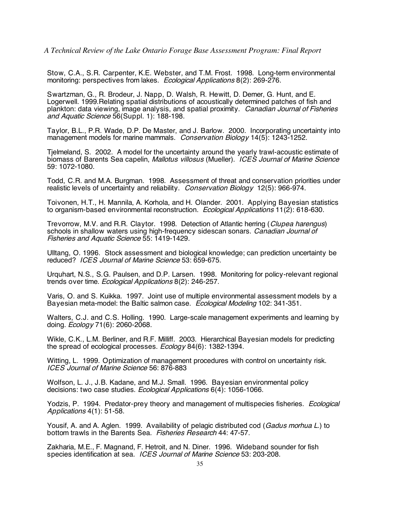Stow, C.A., S.R. Carpenter, K.E. Webster, and T.M. Frost. 1998. Long-term environmental monitoring: perspectives from lakes. Ecological Applications 8(2): 269-276.

Swartzman, G., R. Brodeur, J. Napp, D. Walsh, R. Hewitt, D. Demer, G. Hunt, and E. Logerwell. 1999.Relating spatial distributions of acoustically determined patches of fish and plankton: data viewing, image analysis, and spatial proximity. Canadian Journal of Fisheries and Aquatic Science 56(Suppl. 1): 188-198.

Taylor, B.L., P.R. Wade, D.P. De Master, and J. Barlow. 2000. Incorporating uncertainty into management models for marine mammals. Conservation Biology 14(5): 1243-1252.

Tjelmeland, S. 2002. A model for the uncertainty around the yearly trawl-acoustic estimate of biomass of Barents Sea capelin, Mallotus villosus (Mueller). ICES Journal of Marine Science 59: 1072-1080.

Todd, C.R. and M.A. Burgman. 1998. Assessment of threat and conservation priorities under realistic levels of uncertainty and reliability. Conservation Biology 12(5): 966-974.

Toivonen, H.T., H. Mannila, A. Korhola, and H. Olander. 2001. Applying Bayesian statistics to organism-based environmental reconstruction. Ecological Applications 11(2): 618-630.

Trevorrow, M.V. and R.R. Claytor. 1998. Detection of Atlantic herring (Clupea harengus) schools in shallow waters using high-frequency sidescan sonars. Canadian Journal of Fisheries and Aquatic Science 55: 1419-1429.

Ulltang, O. 1996. Stock assessment and biological knowledge; can prediction uncertainty be reduced? ICES Journal of Marine Science 53: 659-675.

Urquhart, N.S., S.G. Paulsen, and D.P. Larsen. 1998. Monitoring for policy-relevant regional trends over time. Ecological Applications 8(2): 246-257.

Varis, O. and S. Kuikka. 1997. Joint use of multiple environmental assessment models by a Bayesian meta-model: the Baltic salmon case. Ecological Modeling 102: 341-351.

Walters, C.J. and C.S. Holling. 1990. Large-scale management experiments and learning by doing.  $Ecology 71(6)$ : 2060-2068.

Wikle, C.K., L.M. Berliner, and R.F. Milliff. 2003. Hierarchical Bayesian models for predicting the spread of ecological processes. Ecology 84(6): 1382-1394.

Witting, L. 1999. Optimization of management procedures with control on uncertainty risk. ICES Journal of Marine Science 56: 876-883

Wolfson, L. J., J.B. Kadane, and M.J. Small. 1996. Bayesian environmental policy decisions: two case studies. Ecological Applications 6(4): 1056-1066.

Yodzis, P. 1994. Predator-prey theory and management of multispecies fisheries. *Ecological* Applications 4(1): 51-58.

Yousif, A. and A. Aglen. 1999. Availability of pelagic distributed cod (Gadus morhua L.) to bottom trawls in the Barents Sea. Fisheries Research 44: 47-57.

Zakharia, M.E., F. Magnand, F. Hetroit, and N. Diner. 1996. Wideband sounder for fish species identification at sea. ICES Journal of Marine Science 53: 203-208.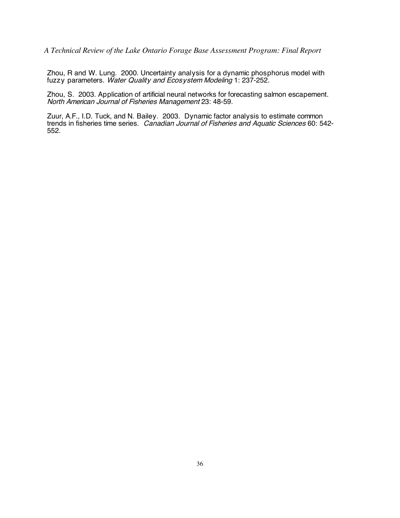Zhou, R and W. Lung. 2000. Uncertainty analysis for a dynamic phosphorus model with fuzzy parameters. Water Quality and Ecosystem Modeling 1: 237-252.

Zhou, S. 2003. Application of artificial neural networks for forecasting salmon escapement. North American Journal of Fisheries Management 23: 48-59.

Zuur, A.F., I.D. Tuck, and N. Bailey. 2003. Dynamic factor analysis to estimate common trends in fisheries time series. Canadian Journal of Fisheries and Aquatic Sciences 60: 542- 552.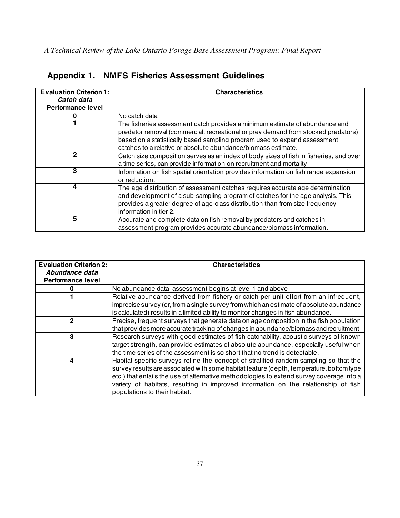| <b>Evaluation Criterion 1:</b><br>Catch data<br><b>Performance level</b> | <b>Characteristics</b>                                                                                                                                                                                                                                                                                          |
|--------------------------------------------------------------------------|-----------------------------------------------------------------------------------------------------------------------------------------------------------------------------------------------------------------------------------------------------------------------------------------------------------------|
|                                                                          | No catch data                                                                                                                                                                                                                                                                                                   |
|                                                                          | The fisheries assessment catch provides a minimum estimate of abundance and<br>predator removal (commercial, recreational or prey demand from stocked predators)<br>based on a statistically based sampling program used to expand assessment<br>lcatches to a relative or absolute abundance/biomass estimate. |
| $\mathbf{2}$                                                             | Catch size composition serves as an index of body sizes of fish in fisheries, and over<br>a time series, can provide information on recruitment and mortality                                                                                                                                                   |
| 3                                                                        | Information on fish spatial orientation provides information on fish range expansion<br>or reduction.                                                                                                                                                                                                           |
| 4                                                                        | The age distribution of assessment catches requires accurate age determination<br>and development of a sub-sampling program of catches for the age analysis. This<br>provides a greater degree of age-class distribution than from size frequency<br>linformation in tier 2.                                    |
| 5                                                                        | Accurate and complete data on fish removal by predators and catches in<br>assessment program provides accurate abundance/biomass information.                                                                                                                                                                   |

# **Appendix 1. NMFS Fisheries Assessment Guidelines**

| <b>Evaluation Criterion 2:</b> | <b>Characteristics</b>                                                                   |
|--------------------------------|------------------------------------------------------------------------------------------|
| Abundance data                 |                                                                                          |
| <b>Performance level</b>       |                                                                                          |
|                                | No abundance data, assessment begins at level 1 and above                                |
|                                | Relative abundance derived from fishery or catch per unit effort from an infrequent,     |
|                                | imprecise survey (or, from a single survey from which an estimate of absolute abundance  |
|                                | is calculated) results in a limited ability to monitor changes in fish abundance.        |
| $\mathbf 2$                    | Precise, frequent surveys that generate data on age composition in the fish population   |
|                                | that provides more accurate tracking of changes in abundance/biomass and recruitment.    |
| 3                              | Research surveys with good estimates of fish catchability, acoustic surveys of known     |
|                                | target strength, can provide estimates of absolute abundance, especially useful when     |
|                                | the time series of the assessment is so short that no trend is detectable.               |
| 4                              | Habitat-specific surveys refine the concept of stratified random sampling so that the    |
|                                | survey results are associated with some habitat feature (depth, temperature, bottom type |
|                                | etc.) that entails the use of alternative methodologies to extend survey coverage into a |
|                                | variety of habitats, resulting in improved information on the relationship of fish       |
|                                | populations to their habitat.                                                            |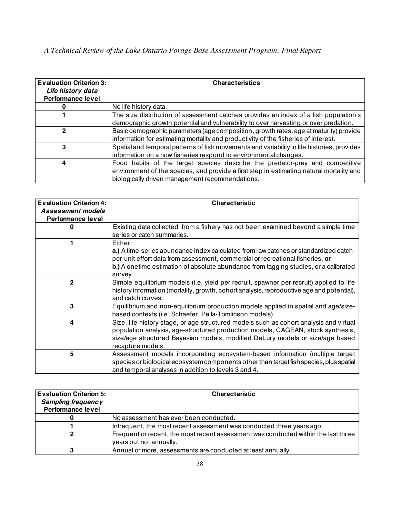| <b>Evaluation Criterion 3:</b> | <b>Characteristics</b>                                                                      |
|--------------------------------|---------------------------------------------------------------------------------------------|
| Life history data              |                                                                                             |
| <b>Performance level</b>       |                                                                                             |
|                                | No life history data.                                                                       |
|                                | The size distribution of assessment catches provides an index of a fish population's        |
|                                | demographic growth potential and vulnerability to over harvesting or over predation.        |
| $\mathbf 2$                    | Basic demographic parameters (age composition, growth rates, age at maturity) provide       |
|                                | information for estimating mortality and productivity of the fisheries of interest.         |
| 3                              | Spatial and temporal patterns of fish movements and variability in life histories, provides |
|                                | information on a how fisheries respond to environmental changes.                            |
| 4                              | Food habits of the target species describe the predator-prey and competitive                |
|                                | environment of the species, and provide a first step in estimating natural mortality and    |
|                                | biologically driven management recommendations.                                             |

| <b>Evaluation Criterion 4:</b> | <b>Characteristic</b>                                                                                                                                                                                                                                                                       |
|--------------------------------|---------------------------------------------------------------------------------------------------------------------------------------------------------------------------------------------------------------------------------------------------------------------------------------------|
| Assessment models              |                                                                                                                                                                                                                                                                                             |
| <b>Performance level</b>       |                                                                                                                                                                                                                                                                                             |
| 0                              | Existing data collected from a fishery has not been examined beyond a simple time<br>series or catch summaries.                                                                                                                                                                             |
|                                | Either:<br>a.) A time-series abundance index calculated from raw catches or standardized catch-<br>per-unit effort data from assessment, commercial or recreational fisheries, <b>or</b><br>b.) A onetime estimation of absolute abundance from tagging studies, or a calibrated<br>survey. |
| $\mathbf{2}$                   | Simple equilibrium models (i.e. yield per recruit, spawner per recruit) applied to life<br>history information (mortality, growth, cohort analysis, reproductive age and potential),<br>and catch curves.                                                                                   |
| 3                              | Equilibrium and non-equilibrium production models applied in spatial and age/size-<br>based contexts (i.e. Schaefer, Pella-Tomlinson models).                                                                                                                                               |
| 4                              | Size, life history stage, or age structured models such as cohort analysis and virtual<br>population analysis, age-structured production models, CAGEAN, stock synthesis,<br>size/age structured Bayesian models, modified DeLury models or size/age based<br>recapture models.             |
| 5                              | Assessment models incorporating ecosystem-based information (multiple target<br>species or biological ecosystem components other than target fish species, plus spatial<br>and temporal analyses in addition to levels 3 and 4.                                                             |

| <b>Evaluation Criterion 5:</b><br><b>Sampling frequency</b> | <b>Characteristic</b>                                                                                         |
|-------------------------------------------------------------|---------------------------------------------------------------------------------------------------------------|
| <b>Performance level</b>                                    |                                                                                                               |
|                                                             | No assessment has ever been conducted.                                                                        |
|                                                             | Infrequent, the most recent assessment was conducted three years ago.                                         |
| 2                                                           | Frequent or recent, the most recent assessment was conducted within the last three<br>years but not annually. |
|                                                             | Annual or more, assessments are conducted at least annually.                                                  |
|                                                             |                                                                                                               |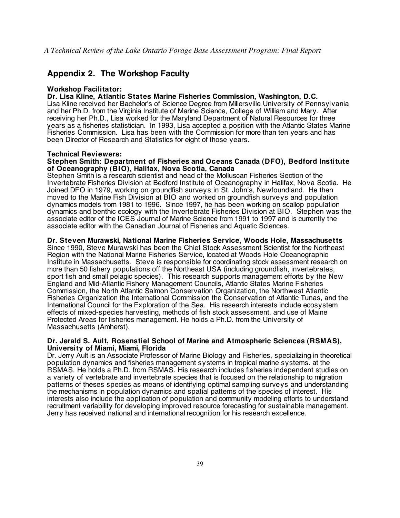# **Appendix 2. The Workshop Faculty**

#### **Workshop Facilitator:**

#### **Dr. Lisa Kline, Atlantic States Marine Fisheries Commission, Washington, D.C.**

Lisa Kline received her Bachelor's of Science Degree from Millersville University of Pennsylvania and her Ph.D. from the Virginia Institute of Marine Science, College of William and Mary. After receiving her Ph.D., Lisa worked for the Maryland Department of Natural Resources for three years as a fisheries statistician. In 1993, Lisa accepted a position with the Atlantic States Marine Fisheries Commission. Lisa has been with the Commission for more than ten years and has been Director of Research and Statistics for eight of those years.

#### **Technical Reviewers:**

#### **Stephen Smith: Department of Fisheries and Oceans Canada (DFO), Bedford Institute of Oceanography (BIO), Halifax, Nova Scotia, Canada**

Stephen Smith is a research scientist and head of the Molluscan Fisheries Section of the Invertebrate Fisheries Division at Bedford Institute of Oceanography in Halifax, Nova Scotia. He Joined DFO in 1979, working on groundfish surveys in St. John's, Newfoundland. He then moved to the Marine Fish Division at BIO and worked on groundfish surveys and population dynamics models from 1981 to 1996. Since 1997, he has been working on scallop population dynamics and benthic ecology with the Invertebrate Fisheries Division at BIO. Stephen was the associate editor of the ICES Journal of Marine Science from 1991 to 1997 and is currently the associate editor with the Canadian Journal of Fisheries and Aquatic Sciences.

#### **Dr. Steven Murawski, National Marine Fisheries Service, Woods Hole, Massachusetts**

Since 1990, Steve Murawski has been the Chief Stock Assessment Scientist for the Northeast Region with the National Marine Fisheries Service, located at Woods Hole Oceanographic Institute in Massachusetts. Steve is responsible for coordinating stock assessment research on more than 50 fishery populations off the Northeast USA (including groundfish, invertebrates, sport fish and small pelagic species). This research supports management efforts by the New England and Mid-Atlantic Fishery Management Councils, Atlantic States Marine Fisheries Commission, the North Atlantic Salmon Conservation Organization, the Northwest Atlantic Fisheries Organization the International Commission the Conservation of Atlantic Tunas, and the International Council for the Exploration of the Sea. His research interests include ecosystem effects of mixed-species harvesting, methods of fish stock assessment, and use of Maine Protected Areas for fisheries management. He holds a Ph.D. from the University of Massachusetts (Amherst).

#### **Dr. Jerald S. Ault, Rosenstiel School of Marine and Atmospheric Sciences (RSMAS), University of Miami, Miami, Florida**

Dr. Jerry Ault is an Associate Professor of Marine Biology and Fisheries, specializing in theoretical population dynamics and fisheries management systems in tropical marine systems. at the RSMAS. He holds a Ph.D. from RSMAS. His research includes fisheries independent studies on a variety of vertebrate and invertebrate species that is focused on the relationship to migration patterns of theses species as means of identifying optimal sampling surveys and understanding the mechanisms in population dynamics and spatial patterns of the species of interest. His interests also include the application of population and community modeling efforts to understand recruitment variability for developing improved resource forecasting for sustainable management. Jerry has received national and international recognition for his research excellence.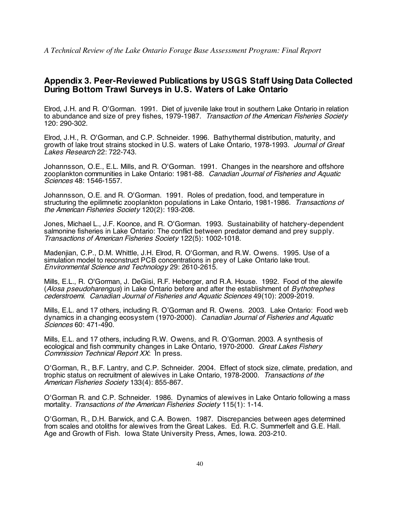# **Appendix 3. Peer-Reviewed Publications by USGS Staff Using Data Collected During Bottom Trawl Surveys in U.S. Waters of Lake Ontario**

Elrod, J.H. and R. O'Gorman. 1991. Diet of juvenile lake trout in southern Lake Ontario in relation to abundance and size of prey fishes, 1979-1987. Transaction of the American Fisheries Society 120: 290-302.

Elrod, J.H., R. O'Gorman, and C.P. Schneider. 1996. Bathythermal distribution, maturity, and growth of lake trout strains stocked in U.S. waters of Lake Ontario, 1978-1993. Journal of Great Lakes Research 22: 722-743.

Johannsson, O.E., E.L. Mills, and R. O'Gorman. 1991. Changes in the nearshore and offshore zooplankton communities in Lake Ontario: 1981-88. Canadian Journal of Fisheries and Aquatic Sciences 48: 1546-1557.

Johannsson, O.E. and R. O'Gorman. 1991. Roles of predation, food, and temperature in structuring the epilimnetic zooplankton populations in Lake Ontario, 1981-1986. Transactions of the American Fisheries Society 120(2): 193-208.

Jones, Michael L., J.F. Koonce, and R. O'Gorman. 1993. Sustainability of hatchery-dependent salmonine fisheries in Lake Ontario: The conflict between predator demand and prey supply. Transactions of American Fisheries Society 122(5): 1002-1018.

Madenjian, C.P., D.M. Whittle, J.H. Elrod, R. O'Gorman, and R.W. Owens. 1995. Use of a simulation model to reconstruct PCB concentrations in prey of Lake Ontario lake trout. Environmental Science and Technology 29: 2610-2615.

Mills, E.L., R. O'Gorman, J. DeGisi, R.F. Heberger, and R.A. House. 1992. Food of the alewife (Alosa pseudoharengus) in Lake Ontario before and after the establishment of Bythotrephes cederstroemi. Canadian Journal of Fisheries and Aquatic Sciences 49(10): 2009-2019.

Mills, E.L. and 17 others, including R. O'Gorman and R. Owens. 2003. Lake Ontario: Food web dynamics in a changing ecosystem (1970-2000). Canadian Journal of Fisheries and Aquatic Sciences 60: 471-490.

Mills, E.L. and 17 others, including R.W. Owens, and R. O'Gorman. 2003. A synthesis of ecological and fish community changes in Lake Ontario, 1970-2000. Great Lakes Fishery Commission Technical Report XX: In press.

O'Gorman, R., B.F. Lantry, and C.P. Schneider. 2004. Effect of stock size, climate, predation, and trophic status on recruitment of alewives in Lake Ontario, 1978-2000. Transactions of the American Fisheries Society 133(4): 855-867.

O'Gorman R. and C.P. Schneider. 1986. Dynamics of alewives in Lake Ontario following a mass mortality. Transactions of the American Fisheries Society 115(1): 1-14.

O'Gorman, R., D.H. Barwick, and C.A. Bowen. 1987. Discrepancies between ages determined from scales and otoliths for alewives from the Great Lakes. Ed. R.C. Summerfelt and G.E. Hall. Age and Growth of Fish. Iowa State University Press, Ames, Iowa. 203-210.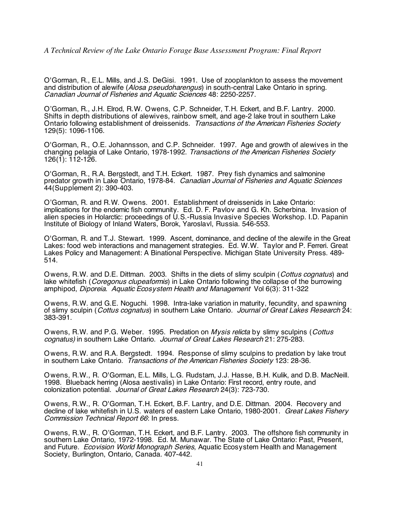O'Gorman, R., E.L. Mills, and J.S. DeGisi. 1991. Use of zooplankton to assess the movement and distribution of alewife (Alosa pseudoharengus) in south-central Lake Ontario in spring. Canadian Journal of Fisheries and Aquatic Sciences 48: 2250-2257.

O'Gorman, R., J.H. Elrod, R.W. Owens, C.P. Schneider, T.H. Eckert, and B.F. Lantry. 2000. Shifts in depth distributions of alewives, rainbow smelt, and age-2 lake trout in southern Lake Ontario following establishment of dreissenids. Transactions of the American Fisheries Society 129(5): 1096-1106.

O'Gorman, R., O.E. Johannsson, and C.P. Schneider. 1997. Age and growth of alewives in the changing pelagia of Lake Ontario, 1978-1992. Transactions of the American Fisheries Society 126(1): 112-126.

O'Gorman, R., R.A. Bergstedt, and T.H. Eckert. 1987. Prey fish dynamics and salmonine predator growth in Lake Ontario, 1978-84. Canadian Journal of Fisheries and Aquatic Sciences 44(Supplement 2): 390-403.

O'Gorman, R. and R.W. Owens. 2001. Establishment of dreissenids in Lake Ontario: implications for the endemic fish community. Ed. D. F. Pavlov and G. Kh. Scherbina. Invasion of alien species in Holarctic: proceedings of U.S.-Russia Invasive Species Workshop. I.D. Papanin Institute of Biology of Inland Waters, Borok, Yaroslavl, Russia. 546-553.

O'Gorman, R. and T.J. Stewart. 1999. Ascent, dominance, and decline of the alewife in the Great Lakes: food web interactions and management strategies. Ed. W.W. Taylor and P. Ferreri. Great Lakes Policy and Management: A Binational Perspective. Michigan State University Press. 489- 514.

Owens, R.W. and D.E. Dittman. 2003. Shifts in the diets of slimy sculpin (Cottus cognatus) and lake whitefish (*Coregonus clupeaformis*) in Lake Ontario following the collapse of the burrowing amphipod, Diporeia. Aquatic Ecosystem Health and Management Vol 6(3): 311-322

Owens, R.W. and G.E. Noguchi. 1998. Intra-lake variation in maturity, fecundity, and spawning of slimy sculpin (Cottus cognatus) in southern Lake Ontario. Journal of Great Lakes Research 24: 383-391.

Owens, R.W. and P.G. Weber. 1995. Predation on Mysis relicta by slimy sculpins (Cottus cognatus) in southern Lake Ontario. Journal of Great Lakes Research 21: 275-283.

Owens, R.W. and R.A. Bergstedt. 1994. Response of slimy sculpins to predation by lake trout in southern Lake Ontario. Transactions of the American Fisheries Society 123: 28-36.

Owens, R.W., R. O'Gorman, E.L. Mills, L.G. Rudstam, J.J. Hasse, B.H. Kulik, and D.B. MacNeill. 1998. Blueback herring (Alosa aestivalis) in Lake Ontario: First record, entry route, and colonization potential. Journal of Great Lakes Research 24(3): 723-730.

Owens, R.W., R. O'Gorman, T.H. Eckert, B.F. Lantry, and D.E. Dittman. 2004. Recovery and decline of lake whitefish in U.S. waters of eastern Lake Ontario, 1980-2001. Great Lakes Fishery Commission Technical Report 66: In press.

Owens, R.W., R. O'Gorman, T.H. Eckert, and B.F. Lantry. 2003. The offshore fish community in southern Lake Ontario, 1972-1998. Ed. M. Munawar. The State of Lake Ontario: Past, Present, and Future. *Ecovision World Monograph Series*, Aguatic Ecosystem Health and Management Society, Burlington, Ontario, Canada. 407-442.